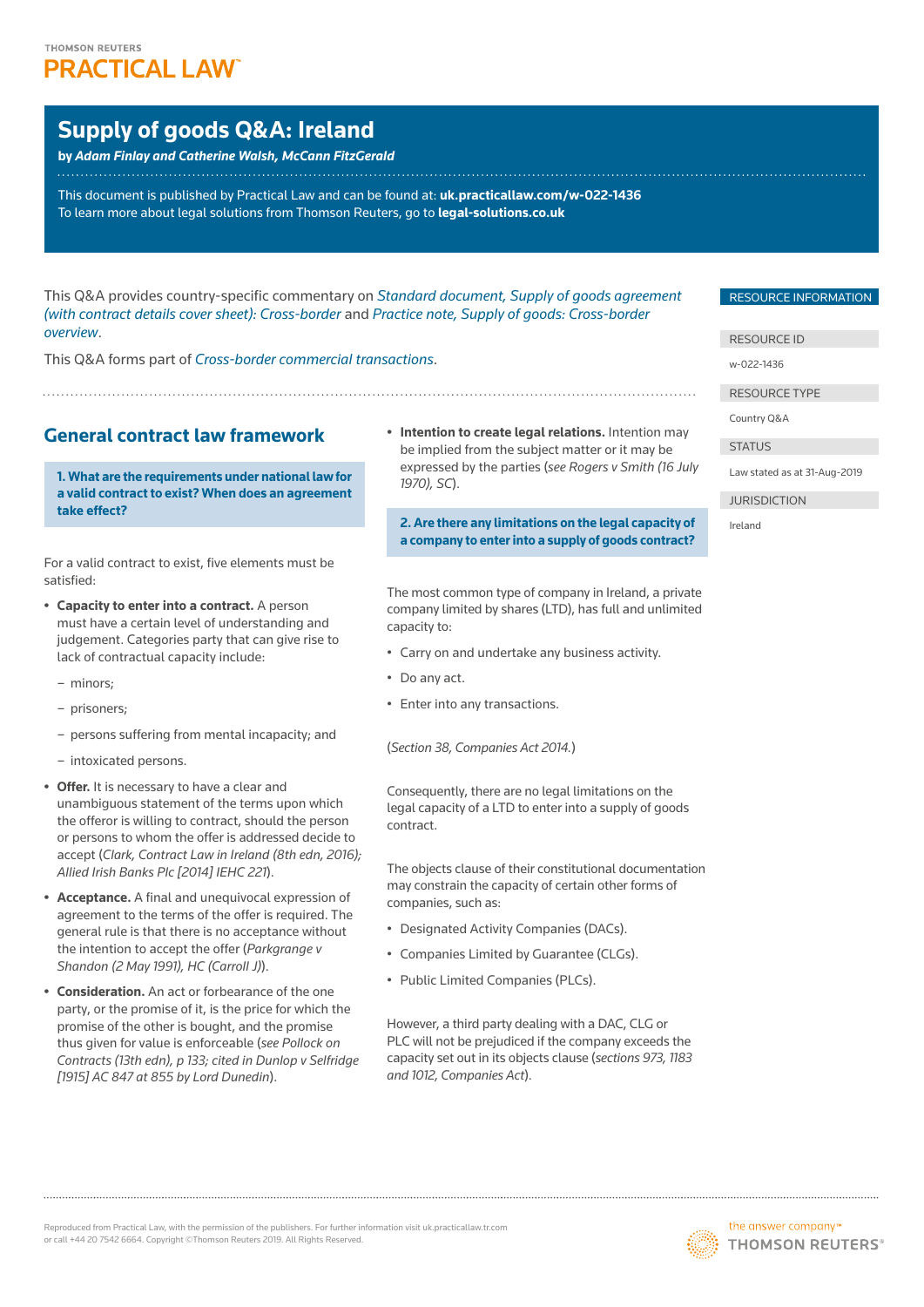# THOMSON REUTERS **PRACTICAL LAW**

# **Supply of goods Q&A: Ireland**

**by** *Adam Finlay and Catherine Walsh, McCann FitzGerald*

This document is published by Practical Law and can be found at: **[uk.practicallaw.com/w](http://uk.practicallaw.com/w-022-1436)-022-1436** To learn more about legal solutions from Thomson Reuters, go to **[legal-solutions.co.uk](http://legal-solutions.co.uk)**

This Q&A provides country-specific commentary on *[Standard document, Supply of goods agreement](https://uk.practicallaw.thomsonreuters.com/w-010-9073)  [\(with contract details cover sheet\): Cross-border](https://uk.practicallaw.thomsonreuters.com/w-010-9073)* and *[Practice note, Supply of goods: Cross-border](https://uk.practicallaw.thomsonreuters.com/6-107-4308)  [overview](https://uk.practicallaw.thomsonreuters.com/6-107-4308)*.

This Q&A forms part of *[Cross-border commercial transactions](https://uk.practicallaw.thomsonreuters.com/Browse/Home/International/Crossbordercommercialtransactions)*.

# **General contract law framework**

**1. What are the requirements under national law for a valid contract to exist? When does an agreement take effect?**

For a valid contract to exist, five elements must be satisfied:

- **• Capacity to enter into a contract.** A person must have a certain level of understanding and judgement. Categories party that can give rise to lack of contractual capacity include:
	- minors;
	- prisoners;
	- persons suffering from mental incapacity; and
	- intoxicated persons.
- **• Offer.** It is necessary to have a clear and unambiguous statement of the terms upon which the offeror is willing to contract, should the person or persons to whom the offer is addressed decide to accept (*Clark, Contract Law in Ireland (8th edn, 2016); Allied Irish Banks Plc [2014] IEHC 221*).
- **• Acceptance.** A final and unequivocal expression of agreement to the terms of the offer is required. The general rule is that there is no acceptance without the intention to accept the offer (*Parkgrange v Shandon (2 May 1991), HC (Carroll J)*).
- **• Consideration.** An act or forbearance of the one party, or the promise of it, is the price for which the promise of the other is bought, and the promise thus given for value is enforceable (*see Pollock on Contracts (13th edn), p 133; cited in Dunlop v Selfridge [1915] AC 847 at 855 by Lord Dunedin*).

**• Intention to create legal relations.** Intention may be implied from the subject matter or it may be expressed by the parties (*see Rogers v Smith (16 July 1970), SC*).

**2. Are there any limitations on the legal capacity of a company to enter into a supply of goods contract?**

The most common type of company in Ireland, a private company limited by shares (LTD), has full and unlimited capacity to:

- Carry on and undertake any business activity.
- Do any act.
- Enter into any transactions.

(*Section 38, Companies Act 2014.*)

Consequently, there are no legal limitations on the legal capacity of a LTD to enter into a supply of goods contract.

The objects clause of their constitutional documentation may constrain the capacity of certain other forms of companies, such as:

- Designated Activity Companies (DACs).
- Companies Limited by Guarantee (CLGs).
- Public Limited Companies (PLCs).

However, a third party dealing with a DAC, CLG or PLC will not be prejudiced if the company exceeds the capacity set out in its objects clause (*sections 973, 1183 and 1012, Companies Act*).

#### RESOURCE INFORMATION

#### RESOURCE ID

w-022-1436

RESOURCE TYPE

Country Q&A

**STATUS** 

Law stated as at 31-Aug-2019

JURISDICTION



Ireland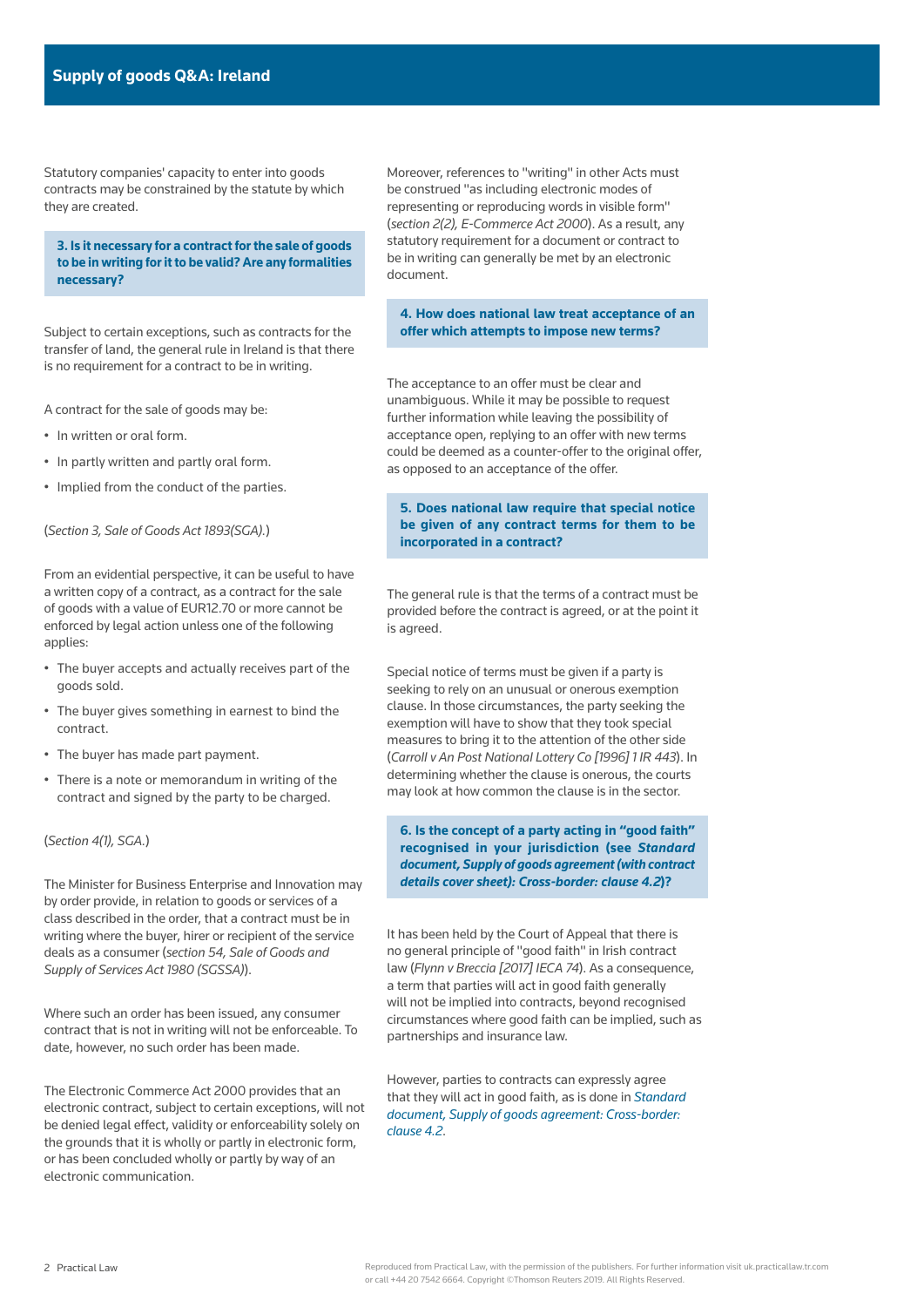Statutory companies' capacity to enter into goods contracts may be constrained by the statute by which they are created.

**3. Is it necessary for a contract for the sale of goods to be in writing for it to be valid? Are any formalities necessary?**

Subject to certain exceptions, such as contracts for the transfer of land, the general rule in Ireland is that there is no requirement for a contract to be in writing.

A contract for the sale of goods may be:

- In written or oral form.
- In partly written and partly oral form.
- Implied from the conduct of the parties.

(*Section 3, Sale of Goods Act 1893(SGA).*)

From an evidential perspective, it can be useful to have a written copy of a contract, as a contract for the sale of goods with a value of EUR12.70 or more cannot be enforced by legal action unless one of the following

- The buyer accepts and actually receives part of the goods sold.
- The buyer gives something in earnest to bind the contract.
- The buyer has made part payment.
- There is a note or memorandum in writing of the contract and signed by the party to be charged.

(*Section 4(1), SGA.*)

applies:

The Minister for Business Enterprise and Innovation may by order provide, in relation to goods or services of a class described in the order, that a contract must be in writing where the buyer, hirer or recipient of the service deals as a consumer (*section 54, Sale of Goods and Supply of Services Act 1980 (SGSSA)*).

Where such an order has been issued, any consumer contract that is not in writing will not be enforceable. To date, however, no such order has been made.

The Electronic Commerce Act 2000 provides that an electronic contract, subject to certain exceptions, will not be denied legal effect, validity or enforceability solely on the grounds that it is wholly or partly in electronic form, or has been concluded wholly or partly by way of an electronic communication.

Moreover, references to "writing" in other Acts must be construed "as including electronic modes of representing or reproducing words in visible form" (*section 2(2), E-Commerce Act 2000*). As a result, any statutory requirement for a document or contract to be in writing can generally be met by an electronic document.

#### **4. How does national law treat acceptance of an offer which attempts to impose new terms?**

The acceptance to an offer must be clear and unambiguous. While it may be possible to request further information while leaving the possibility of acceptance open, replying to an offer with new terms could be deemed as a counter-offer to the original offer, as opposed to an acceptance of the offer.

### **5. Does national law require that special notice be given of any contract terms for them to be incorporated in a contract?**

The general rule is that the terms of a contract must be provided before the contract is agreed, or at the point it is agreed.

Special notice of terms must be given if a party is seeking to rely on an unusual or onerous exemption clause. In those circumstances, the party seeking the exemption will have to show that they took special measures to bring it to the attention of the other side (*Carroll v An Post National Lottery Co [1996] 1 IR 443*). In determining whether the clause is onerous, the courts may look at how common the clause is in the sector.

**6. Is the concept of a party acting in "good faith" recognised in your jurisdiction (see** *[Standard](https://uk.practicallaw.thomsonreuters.com/w-010-9073)  [document, Supply of goods agreement \(with contract](https://uk.practicallaw.thomsonreuters.com/w-010-9073)  [details cover sheet\): Cross-border: clause 4.2](https://uk.practicallaw.thomsonreuters.com/w-010-9073)***)?**

It has been held by the Court of Appeal that there is no general principle of "good faith" in Irish contract law (*Flynn v Breccia [2017] IECA 74*). As a consequence, a term that parties will act in good faith generally will not be implied into contracts, beyond recognised circumstances where good faith can be implied, such as partnerships and insurance law.

However, parties to contracts can expressly agree that they will act in good faith, as is done in *[Standard](https://uk.practicallaw.thomsonreuters.com/w-010-9073)  [document, Supply of goods agreement: Cross-border:](https://uk.practicallaw.thomsonreuters.com/w-010-9073)  [clause 4.2](https://uk.practicallaw.thomsonreuters.com/w-010-9073)*.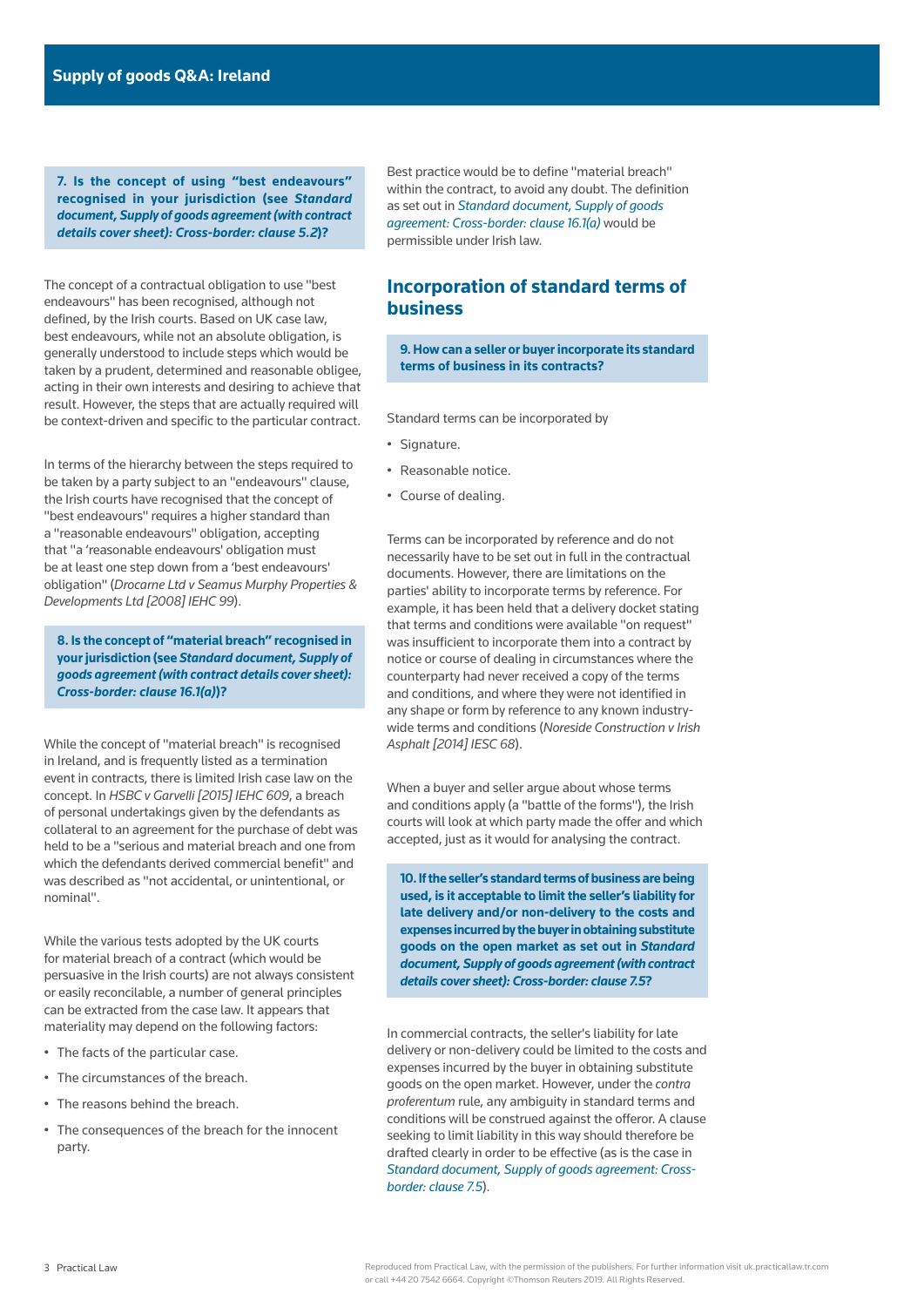**7. Is the concept of using "best endeavours" recognised in your jurisdiction (see** *[Standard](https://uk.practicallaw.thomsonreuters.com/w-010-9073)  [document, Supply of goods agreement \(with contract](https://uk.practicallaw.thomsonreuters.com/w-010-9073)  [details cover sheet\): Cross-border: clause 5.2](https://uk.practicallaw.thomsonreuters.com/w-010-9073)***)?**

The concept of a contractual obligation to use "best endeavours" has been recognised, although not defined, by the Irish courts. Based on UK case law, best endeavours, while not an absolute obligation, is generally understood to include steps which would be taken by a prudent, determined and reasonable obligee, acting in their own interests and desiring to achieve that result. However, the steps that are actually required will be context-driven and specific to the particular contract.

In terms of the hierarchy between the steps required to be taken by a party subject to an "endeavours" clause, the Irish courts have recognised that the concept of "best endeavours" requires a higher standard than a "reasonable endeavours" obligation, accepting that "a 'reasonable endeavours' obligation must be at least one step down from a 'best endeavours' obligation" (*Drocarne Ltd v Seamus Murphy Properties & Developments Ltd [2008] IEHC 99*).

**8. Is the concept of "material breach" recognised in your jurisdiction (see** *[Standard document, Supply of](https://uk.practicallaw.thomsonreuters.com/w-010-9073)  [goods agreement \(with contract details cover sheet\):](https://uk.practicallaw.thomsonreuters.com/w-010-9073)  [Cross-border: clause 16.1\(a\)](https://uk.practicallaw.thomsonreuters.com/w-010-9073)***)?**

While the concept of "material breach" is recognised in Ireland, and is frequently listed as a termination event in contracts, there is limited Irish case law on the concept. In *HSBC v Garvelli [2015] IEHC 609*, a breach of personal undertakings given by the defendants as collateral to an agreement for the purchase of debt was held to be a "serious and material breach and one from which the defendants derived commercial benefit" and was described as "not accidental, or unintentional, or nominal".

While the various tests adopted by the UK courts for material breach of a contract (which would be persuasive in the Irish courts) are not always consistent or easily reconcilable, a number of general principles can be extracted from the case law. It appears that materiality may depend on the following factors:

- The facts of the particular case.
- The circumstances of the breach.
- The reasons behind the breach.
- The consequences of the breach for the innocent party.

Best practice would be to define "material breach" within the contract, to avoid any doubt. The definition as set out in *[Standard document, Supply of goods](https://uk.practicallaw.thomsonreuters.com/w-010-9073)  [agreement: Cross-border: clause 16.1\(a\)](https://uk.practicallaw.thomsonreuters.com/w-010-9073)* would be permissible under Irish law.

# **Incorporation of standard terms of business**

**9. How can a seller or buyer incorporate its standard terms of business in its contracts?**

Standard terms can be incorporated by

- Signature.
- Reasonable notice.
- Course of dealing.

Terms can be incorporated by reference and do not necessarily have to be set out in full in the contractual documents. However, there are limitations on the parties' ability to incorporate terms by reference. For example, it has been held that a delivery docket stating that terms and conditions were available "on request" was insufficient to incorporate them into a contract by notice or course of dealing in circumstances where the counterparty had never received a copy of the terms and conditions, and where they were not identified in any shape or form by reference to any known industrywide terms and conditions (*Noreside Construction v Irish Asphalt [2014] IESC 68*).

When a buyer and seller argue about whose terms and conditions apply (a "battle of the forms"), the Irish courts will look at which party made the offer and which accepted, just as it would for analysing the contract.

**10. If the seller's standard terms of business are being used, is it acceptable to limit the seller's liability for late delivery and/or non-delivery to the costs and expenses incurred by the buyer in obtaining substitute goods on the open market as set out in** *[Standard](https://uk.practicallaw.thomsonreuters.com/w-010-9073)  [document, Supply of goods agreement \(with contract](https://uk.practicallaw.thomsonreuters.com/w-010-9073)  [details cover sheet\): Cross-border: clause 7.5](https://uk.practicallaw.thomsonreuters.com/w-010-9073)***?**

In commercial contracts, the seller's liability for late delivery or non-delivery could be limited to the costs and expenses incurred by the buyer in obtaining substitute goods on the open market. However, under the *contra proferentum* rule, any ambiguity in standard terms and conditions will be construed against the offeror. A clause seeking to limit liability in this way should therefore be drafted clearly in order to be effective (as is the case in *[Standard document, Supply of goods agreement: Cross](https://uk.practicallaw.thomsonreuters.com/w-010-9073)[border: clause 7.5](https://uk.practicallaw.thomsonreuters.com/w-010-9073)*).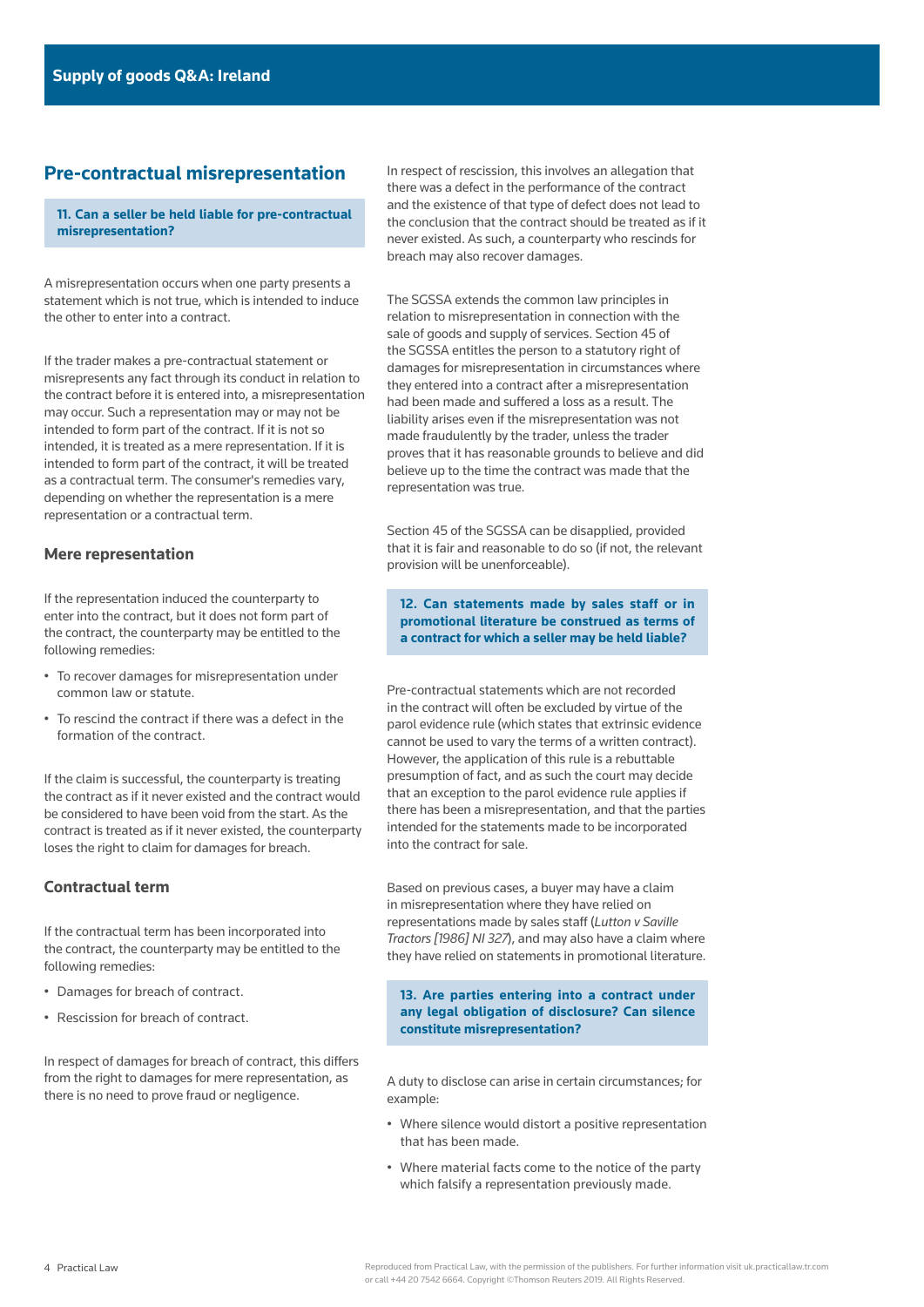# **Pre-contractual misrepresentation**

### **11. Can a seller be held liable for pre-contractual misrepresentation?**

A misrepresentation occurs when one party presents a statement which is not true, which is intended to induce the other to enter into a contract.

If the trader makes a pre-contractual statement or misrepresents any fact through its conduct in relation to the contract before it is entered into, a misrepresentation may occur. Such a representation may or may not be intended to form part of the contract. If it is not so intended, it is treated as a mere representation. If it is intended to form part of the contract, it will be treated as a contractual term. The consumer's remedies vary, depending on whether the representation is a mere representation or a contractual term.

### **Mere representation**

If the representation induced the counterparty to enter into the contract, but it does not form part of the contract, the counterparty may be entitled to the following remedies:

- To recover damages for misrepresentation under common law or statute.
- To rescind the contract if there was a defect in the formation of the contract.

If the claim is successful, the counterparty is treating the contract as if it never existed and the contract would be considered to have been void from the start. As the contract is treated as if it never existed, the counterparty loses the right to claim for damages for breach.

### **Contractual term**

If the contractual term has been incorporated into the contract, the counterparty may be entitled to the following remedies:

- Damages for breach of contract.
- Rescission for breach of contract.

In respect of damages for breach of contract, this differs from the right to damages for mere representation, as there is no need to prove fraud or negligence.

In respect of rescission, this involves an allegation that there was a defect in the performance of the contract and the existence of that type of defect does not lead to the conclusion that the contract should be treated as if it never existed. As such, a counterparty who rescinds for breach may also recover damages.

The SGSSA extends the common law principles in relation to misrepresentation in connection with the sale of goods and supply of services. Section 45 of the SGSSA entitles the person to a statutory right of damages for misrepresentation in circumstances where they entered into a contract after a misrepresentation had been made and suffered a loss as a result. The liability arises even if the misrepresentation was not made fraudulently by the trader, unless the trader proves that it has reasonable grounds to believe and did believe up to the time the contract was made that the representation was true.

Section 45 of the SGSSA can be disapplied, provided that it is fair and reasonable to do so (if not, the relevant provision will be unenforceable).

**12. Can statements made by sales staff or in promotional literature be construed as terms of a contract for which a seller may be held liable?**

Pre-contractual statements which are not recorded in the contract will often be excluded by virtue of the parol evidence rule (which states that extrinsic evidence cannot be used to vary the terms of a written contract). However, the application of this rule is a rebuttable presumption of fact, and as such the court may decide that an exception to the parol evidence rule applies if there has been a misrepresentation, and that the parties intended for the statements made to be incorporated into the contract for sale.

Based on previous cases, a buyer may have a claim in misrepresentation where they have relied on representations made by sales staff (*Lutton v Saville Tractors [1986] NI 327*), and may also have a claim where they have relied on statements in promotional literature.

**13. Are parties entering into a contract under any legal obligation of disclosure? Can silence constitute misrepresentation?**

A duty to disclose can arise in certain circumstances; for example:

- Where silence would distort a positive representation that has been made.
- Where material facts come to the notice of the party which falsify a representation previously made.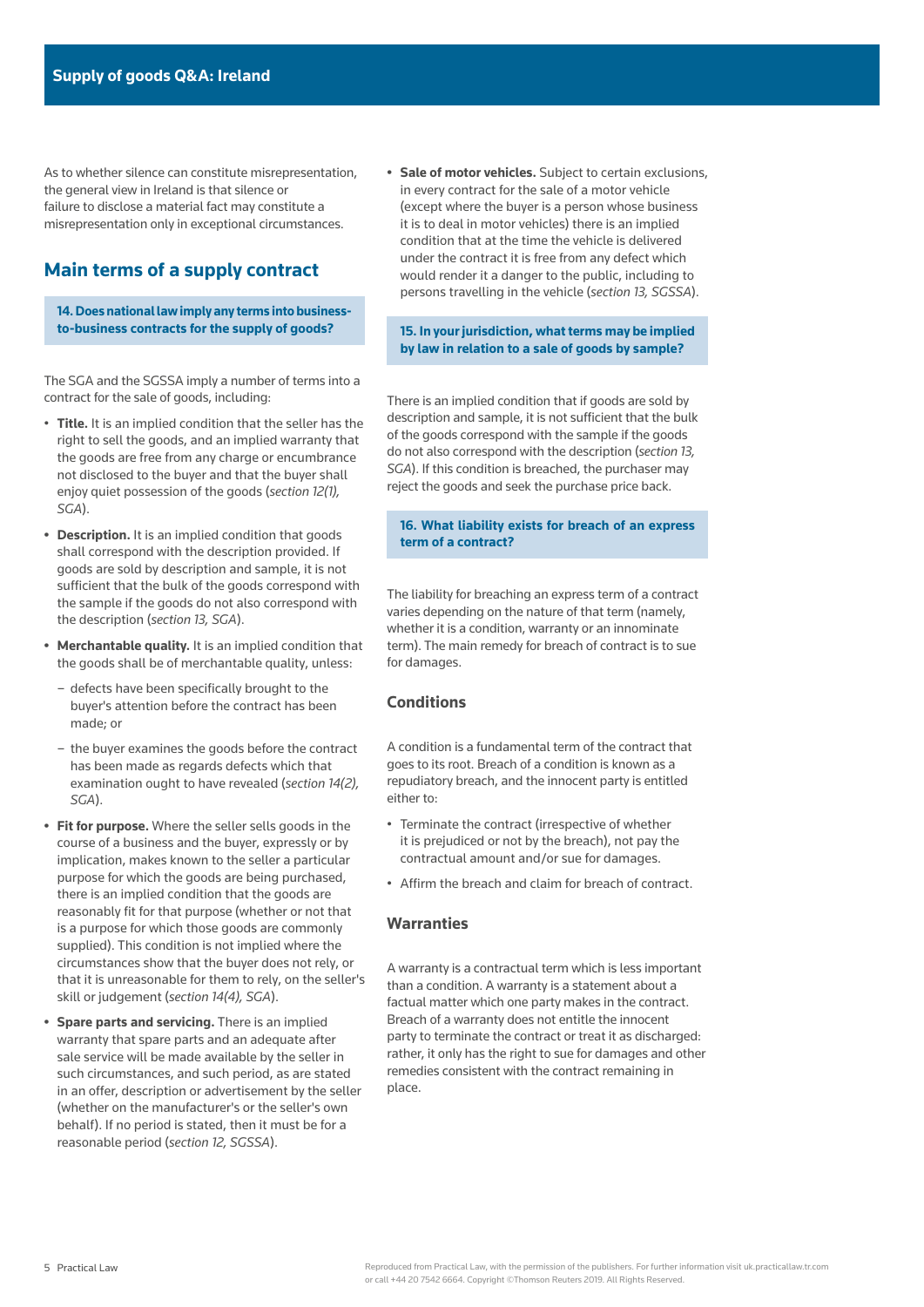As to whether silence can constitute misrepresentation, the general view in Ireland is that silence or failure to disclose a material fact may constitute a misrepresentation only in exceptional circumstances.

# **Main terms of a supply contract**

**14. Does national law imply any terms into businessto-business contracts for the supply of goods?**

The SGA and the SGSSA imply a number of terms into a contract for the sale of goods, including:

- **Title.** It is an implied condition that the seller has the right to sell the goods, and an implied warranty that the goods are free from any charge or encumbrance not disclosed to the buyer and that the buyer shall enjoy quiet possession of the goods (*section 12(1), SGA*).
- **• Description.** It is an implied condition that goods shall correspond with the description provided. If goods are sold by description and sample, it is not sufficient that the bulk of the goods correspond with the sample if the goods do not also correspond with the description (*section 13, SGA*).
- **• Merchantable quality.** It is an implied condition that the goods shall be of merchantable quality, unless:
	- defects have been specifically brought to the buyer's attention before the contract has been made; or
	- the buyer examines the goods before the contract has been made as regards defects which that examination ought to have revealed (*section 14(2), SGA*).
- **• Fit for purpose.** Where the seller sells goods in the course of a business and the buyer, expressly or by implication, makes known to the seller a particular purpose for which the goods are being purchased, there is an implied condition that the goods are reasonably fit for that purpose (whether or not that is a purpose for which those goods are commonly supplied). This condition is not implied where the circumstances show that the buyer does not rely, or that it is unreasonable for them to rely, on the seller's skill or judgement (*section 14(4), SGA*).
- **• Spare parts and servicing.** There is an implied warranty that spare parts and an adequate after sale service will be made available by the seller in such circumstances, and such period, as are stated in an offer, description or advertisement by the seller (whether on the manufacturer's or the seller's own behalf). If no period is stated, then it must be for a reasonable period (*section 12, SGSSA*).

**• Sale of motor vehicles.** Subject to certain exclusions, in every contract for the sale of a motor vehicle (except where the buyer is a person whose business it is to deal in motor vehicles) there is an implied condition that at the time the vehicle is delivered under the contract it is free from any defect which would render it a danger to the public, including to persons travelling in the vehicle (*section 13, SGSSA*).

**15. In your jurisdiction, what terms may be implied by law in relation to a sale of goods by sample?**

There is an implied condition that if goods are sold by description and sample, it is not sufficient that the bulk of the goods correspond with the sample if the goods do not also correspond with the description (*section 13, SGA*). If this condition is breached, the purchaser may reject the goods and seek the purchase price back.

**16. What liability exists for breach of an express term of a contract?**

The liability for breaching an express term of a contract varies depending on the nature of that term (namely, whether it is a condition, warranty or an innominate term). The main remedy for breach of contract is to sue for damages.

### **Conditions**

A condition is a fundamental term of the contract that goes to its root. Breach of a condition is known as a repudiatory breach, and the innocent party is entitled either to:

- Terminate the contract (irrespective of whether it is prejudiced or not by the breach), not pay the contractual amount and/or sue for damages.
- Affirm the breach and claim for breach of contract.

### **Warranties**

A warranty is a contractual term which is less important than a condition. A warranty is a statement about a factual matter which one party makes in the contract. Breach of a warranty does not entitle the innocent party to terminate the contract or treat it as discharged: rather, it only has the right to sue for damages and other remedies consistent with the contract remaining in place.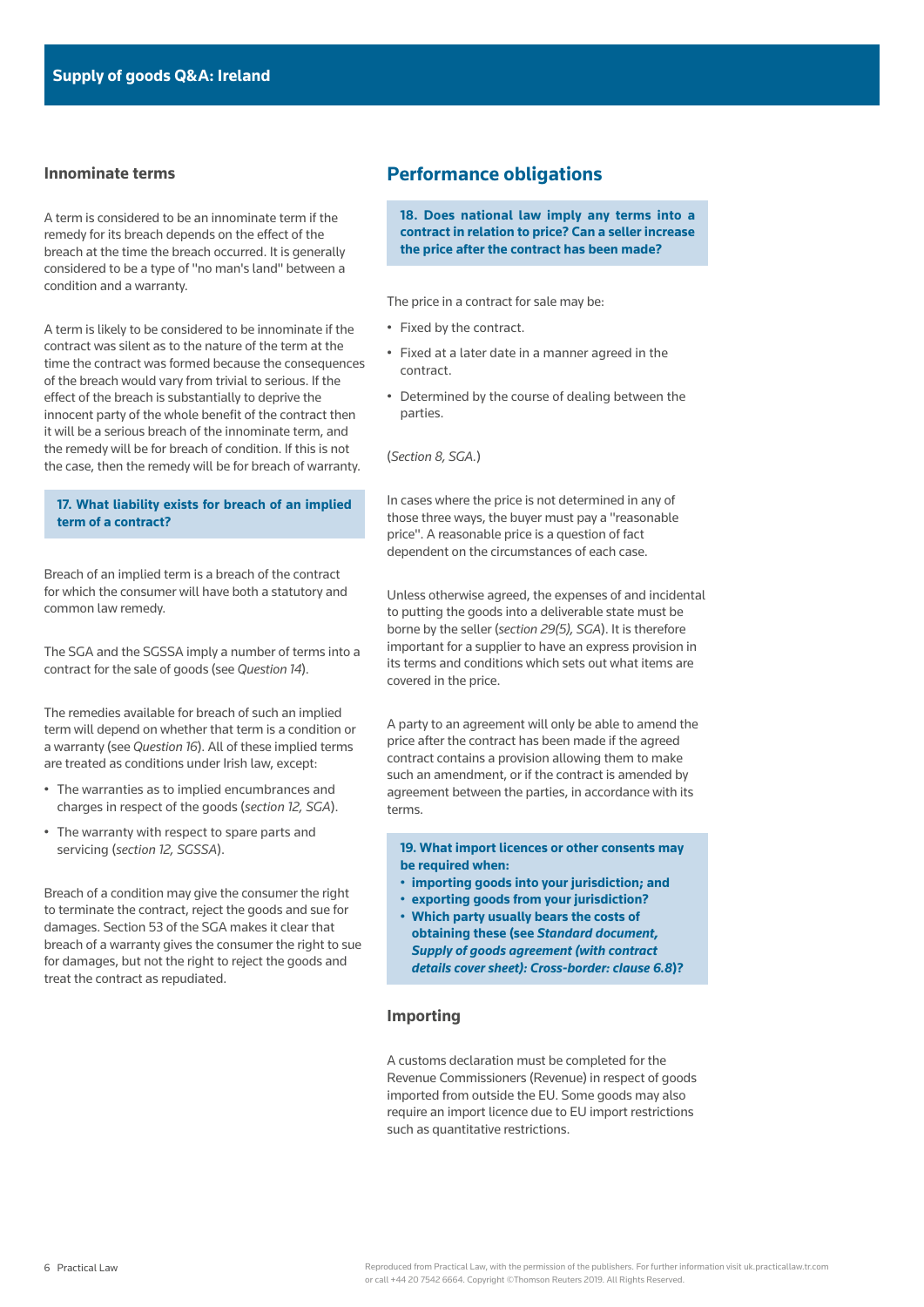#### **Innominate terms**

A term is considered to be an innominate term if the remedy for its breach depends on the effect of the breach at the time the breach occurred. It is generally considered to be a type of "no man's land" between a condition and a warranty.

A term is likely to be considered to be innominate if the contract was silent as to the nature of the term at the time the contract was formed because the consequences of the breach would vary from trivial to serious. If the effect of the breach is substantially to deprive the innocent party of the whole benefit of the contract then it will be a serious breach of the innominate term, and the remedy will be for breach of condition. If this is not the case, then the remedy will be for breach of warranty.

### **17. What liability exists for breach of an implied term of a contract?**

Breach of an implied term is a breach of the contract for which the consumer will have both a statutory and common law remedy.

The SGA and the SGSSA imply a number of terms into a contract for the sale of goods (see *Question 14*).

The remedies available for breach of such an implied term will depend on whether that term is a condition or a warranty (see *Question 16*). All of these implied terms are treated as conditions under Irish law, except:

- The warranties as to implied encumbrances and charges in respect of the goods (*section 12, SGA*).
- The warranty with respect to spare parts and servicing (*section 12, SGSSA*).

Breach of a condition may give the consumer the right to terminate the contract, reject the goods and sue for damages. Section 53 of the SGA makes it clear that breach of a warranty gives the consumer the right to sue for damages, but not the right to reject the goods and treat the contract as repudiated.

# **Performance obligations**

**18. Does national law imply any terms into a contract in relation to price? Can a seller increase the price after the contract has been made?**

The price in a contract for sale may be:

- Fixed by the contract.
- Fixed at a later date in a manner agreed in the contract.
- Determined by the course of dealing between the parties.

(*Section 8, SGA.*)

In cases where the price is not determined in any of those three ways, the buyer must pay a "reasonable price". A reasonable price is a question of fact dependent on the circumstances of each case.

Unless otherwise agreed, the expenses of and incidental to putting the goods into a deliverable state must be borne by the seller (*section 29(5), SGA*). It is therefore important for a supplier to have an express provision in its terms and conditions which sets out what items are covered in the price.

A party to an agreement will only be able to amend the price after the contract has been made if the agreed contract contains a provision allowing them to make such an amendment, or if the contract is amended by agreement between the parties, in accordance with its terms.

**19. What import licences or other consents may be required when:** 

- **importing goods into your jurisdiction; and**
- **exporting goods from your jurisdiction?**  • **Which party usually bears the costs of obtaining these (see** *[Standard document,](https://uk.practicallaw.thomsonreuters.com/w-010-9073)   [Supply of goods agreement \(with contract](https://uk.practicallaw.thomsonreuters.com/w-010-9073)  [details cover sheet\): Cross-border: clause 6.8](https://uk.practicallaw.thomsonreuters.com/w-010-9073)***)?**

### **Importing**

A customs declaration must be completed for the Revenue Commissioners (Revenue) in respect of goods imported from outside the EU. Some goods may also require an import licence due to EU import restrictions such as quantitative restrictions.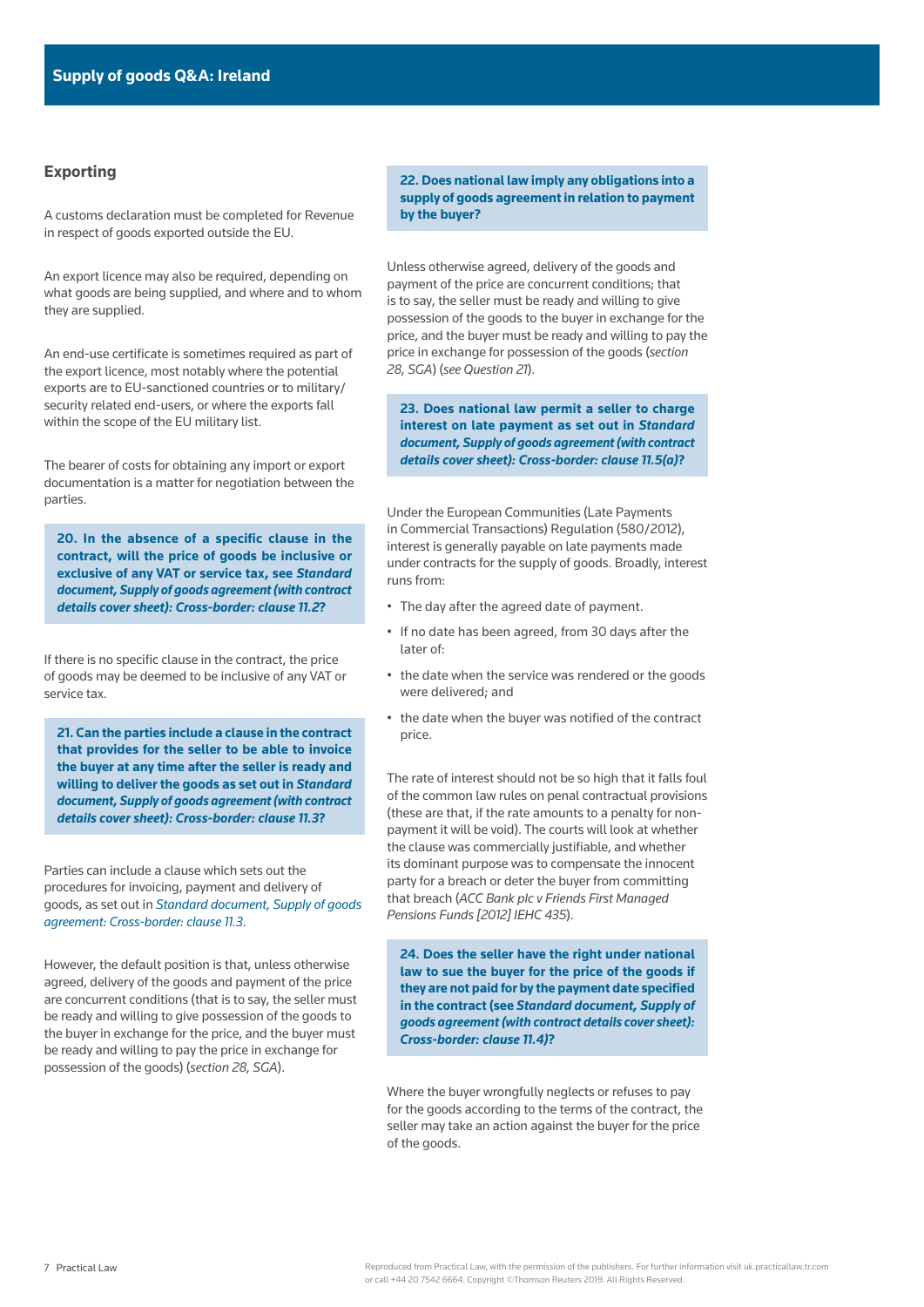### **Exporting**

A customs declaration must be completed for Revenue in respect of goods exported outside the EU.

An export licence may also be required, depending on what goods are being supplied, and where and to whom they are supplied.

An end-use certificate is sometimes required as part of the export licence, most notably where the potential exports are to EU-sanctioned countries or to military/ security related end-users, or where the exports fall within the scope of the EU military list.

The bearer of costs for obtaining any import or export documentation is a matter for negotiation between the parties.

**20. In the absence of a specific clause in the contract, will the price of goods be inclusive or exclusive of any VAT or service tax, see** *[Standard](https://uk.practicallaw.thomsonreuters.com/w-010-9073)  [document, Supply of goods agreement \(with contract](https://uk.practicallaw.thomsonreuters.com/w-010-9073)  [details cover sheet\): Cross-border: clause 11.2](https://uk.practicallaw.thomsonreuters.com/w-010-9073)***?**

If there is no specific clause in the contract, the price of goods may be deemed to be inclusive of any VAT or service tax.

**21. Can the parties include a clause in the contract that provides for the seller to be able to invoice the buyer at any time after the seller is ready and willing to deliver the goods as set out in** *[Standard](https://uk.practicallaw.thomsonreuters.com/w-010-9073)  [document, Supply of goods agreement \(with contract](https://uk.practicallaw.thomsonreuters.com/w-010-9073)  [details cover sheet\): Cross-border: clause 11.3](https://uk.practicallaw.thomsonreuters.com/w-010-9073)***?**

Parties can include a clause which sets out the procedures for invoicing, payment and delivery of goods, as set out in *[Standard document, Supply of goods](https://uk.practicallaw.thomsonreuters.com/w-010-9073)  [agreement: Cross-border: clause 11.3](https://uk.practicallaw.thomsonreuters.com/w-010-9073)*.

However, the default position is that, unless otherwise agreed, delivery of the goods and payment of the price are concurrent conditions (that is to say, the seller must be ready and willing to give possession of the goods to the buyer in exchange for the price, and the buyer must be ready and willing to pay the price in exchange for possession of the goods) (*section 28, SGA*).

**22. Does national law imply any obligations into a supply of goods agreement in relation to payment by the buyer?**

Unless otherwise agreed, delivery of the goods and payment of the price are concurrent conditions; that is to say, the seller must be ready and willing to give possession of the goods to the buyer in exchange for the price, and the buyer must be ready and willing to pay the price in exchange for possession of the goods (*section 28, SGA*) (*see Question 21*).

**23. Does national law permit a seller to charge interest on late payment as set out in** *[Standard](https://uk.practicallaw.thomsonreuters.com/w-010-9073)  [document, Supply of goods agreement \(with contract](https://uk.practicallaw.thomsonreuters.com/w-010-9073)  [details cover sheet\): Cross-border: clause 11.5\(a\)](https://uk.practicallaw.thomsonreuters.com/w-010-9073)***?**

Under the European Communities (Late Payments in Commercial Transactions) Regulation (580/2012), interest is generally payable on late payments made under contracts for the supply of goods. Broadly, interest runs from:

- The day after the agreed date of payment.
- If no date has been agreed, from 30 days after the later of:
- the date when the service was rendered or the goods were delivered; and
- the date when the buyer was notified of the contract price.

The rate of interest should not be so high that it falls foul of the common law rules on penal contractual provisions (these are that, if the rate amounts to a penalty for nonpayment it will be void). The courts will look at whether the clause was commercially justifiable, and whether its dominant purpose was to compensate the innocent party for a breach or deter the buyer from committing that breach (*ACC Bank plc v Friends First Managed Pensions Funds [2012] IEHC 435*).

**24. Does the seller have the right under national law to sue the buyer for the price of the goods if they are not paid for by the payment date specified in the contract (see** *[Standard document, Supply of](https://uk.practicallaw.thomsonreuters.com/w-010-9073)  [goods agreement \(with contract details cover sheet\):](https://uk.practicallaw.thomsonreuters.com/w-010-9073)  [Cross-border: clause 11.4\)](https://uk.practicallaw.thomsonreuters.com/w-010-9073)***?**

Where the buyer wrongfully neglects or refuses to pay for the goods according to the terms of the contract, the seller may take an action against the buyer for the price of the goods.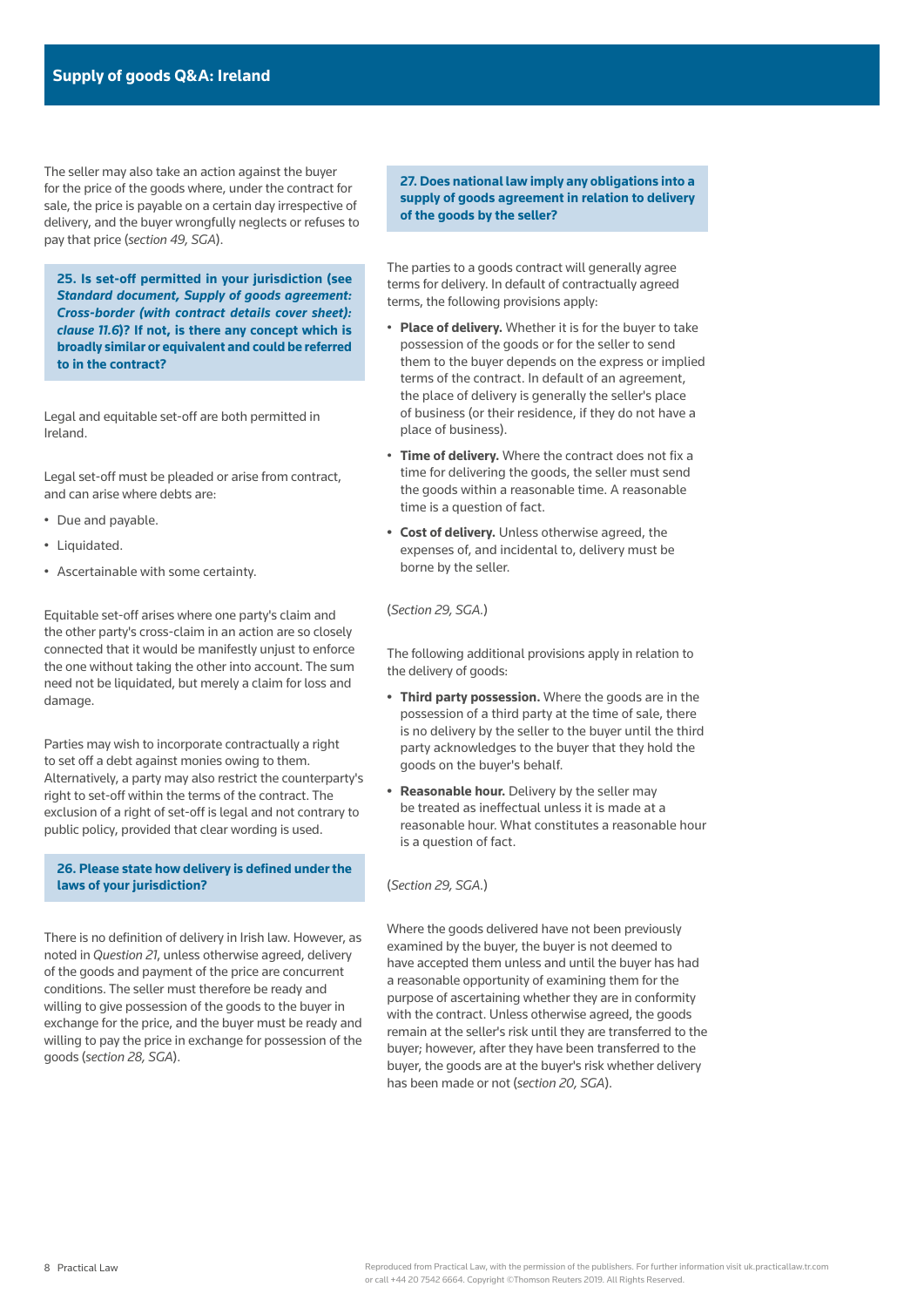The seller may also take an action against the buyer for the price of the goods where, under the contract for sale, the price is payable on a certain day irrespective of delivery, and the buyer wrongfully neglects or refuses to pay that price (*section 49, SGA*).

**25. Is set-off permitted in your jurisdiction (see**  *[Standard document, Supply of goods agreement:](https://uk.practicallaw.thomsonreuters.com/w-010-9073)  [Cross-border \(with contract details cover sheet\):](https://uk.practicallaw.thomsonreuters.com/w-010-9073)  [clause 11.6](https://uk.practicallaw.thomsonreuters.com/w-010-9073)***)? If not, is there any concept which is broadly similar or equivalent and could be referred to in the contract?**

Legal and equitable set-off are both permitted in Ireland.

Legal set-off must be pleaded or arise from contract, and can arise where debts are:

- Due and payable.
- Liquidated.
- Ascertainable with some certainty.

Equitable set-off arises where one party's claim and the other party's cross-claim in an action are so closely connected that it would be manifestly unjust to enforce the one without taking the other into account. The sum need not be liquidated, but merely a claim for loss and damage.

Parties may wish to incorporate contractually a right to set off a debt against monies owing to them. Alternatively, a party may also restrict the counterparty's right to set-off within the terms of the contract. The exclusion of a right of set-off is legal and not contrary to public policy, provided that clear wording is used.

### **26. Please state how delivery is defined under the laws of your jurisdiction?**

There is no definition of delivery in Irish law. However, as noted in *Question 21*, unless otherwise agreed, delivery of the goods and payment of the price are concurrent conditions. The seller must therefore be ready and willing to give possession of the goods to the buyer in exchange for the price, and the buyer must be ready and willing to pay the price in exchange for possession of the goods (*section 28, SGA*).

**27. Does national law imply any obligations into a supply of goods agreement in relation to delivery of the goods by the seller?**

The parties to a goods contract will generally agree terms for delivery. In default of contractually agreed terms, the following provisions apply:

- **Place of delivery.** Whether it is for the buyer to take possession of the goods or for the seller to send them to the buyer depends on the express or implied terms of the contract. In default of an agreement, the place of delivery is generally the seller's place of business (or their residence, if they do not have a place of business).
- **Time of delivery.** Where the contract does not fix a time for delivering the goods, the seller must send the goods within a reasonable time. A reasonable time is a question of fact.
- **• Cost of delivery.** Unless otherwise agreed, the expenses of, and incidental to, delivery must be borne by the seller.

#### (*Section 29, SGA.*)

The following additional provisions apply in relation to the delivery of goods:

- **• Third party possession.** Where the goods are in the possession of a third party at the time of sale, there is no delivery by the seller to the buyer until the third party acknowledges to the buyer that they hold the goods on the buyer's behalf.
- **• Reasonable hour.** Delivery by the seller may be treated as ineffectual unless it is made at a reasonable hour. What constitutes a reasonable hour is a question of fact.

#### (*Section 29, SGA.*)

Where the goods delivered have not been previously examined by the buyer, the buyer is not deemed to have accepted them unless and until the buyer has had a reasonable opportunity of examining them for the purpose of ascertaining whether they are in conformity with the contract. Unless otherwise agreed, the goods remain at the seller's risk until they are transferred to the buyer; however, after they have been transferred to the buyer, the goods are at the buyer's risk whether delivery has been made or not (*section 20, SGA*).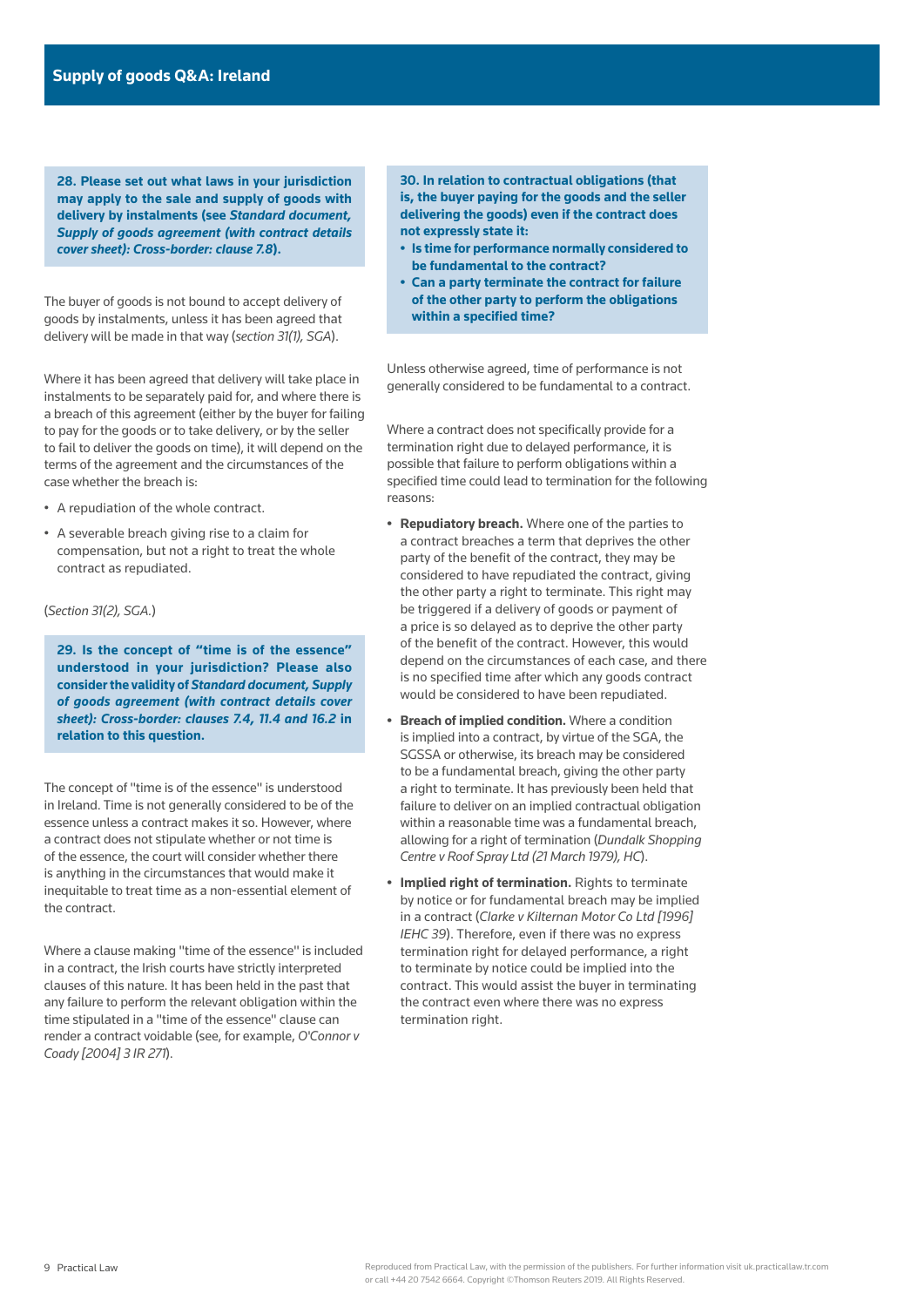**28. Please set out what laws in your jurisdiction may apply to the sale and supply of goods with delivery by instalments (see** *[Standard document,](https://uk.practicallaw.thomsonreuters.com/w-010-9073)  [Supply of goods agreement \(with contract details](https://uk.practicallaw.thomsonreuters.com/w-010-9073)  [cover sheet\): Cross-border: clause 7.8](https://uk.practicallaw.thomsonreuters.com/w-010-9073)***).**

The buyer of goods is not bound to accept delivery of goods by instalments, unless it has been agreed that delivery will be made in that way (*section 31(1), SGA*).

Where it has been agreed that delivery will take place in instalments to be separately paid for, and where there is a breach of this agreement (either by the buyer for failing to pay for the goods or to take delivery, or by the seller to fail to deliver the goods on time), it will depend on the terms of the agreement and the circumstances of the case whether the breach is:

- A repudiation of the whole contract.
- A severable breach giving rise to a claim for compensation, but not a right to treat the whole contract as repudiated.

(*Section 31(2), SGA.*)

**29. Is the concept of "time is of the essence" understood in your jurisdiction? Please also consider the validity of** *[Standard document, Supply](https://uk.practicallaw.thomsonreuters.com/w-010-9073)  [of goods agreement \(with contract details cover](https://uk.practicallaw.thomsonreuters.com/w-010-9073)  [sheet\): Cross-border: clauses 7.4, 11.4 and 16.2](https://uk.practicallaw.thomsonreuters.com/w-010-9073)* **in relation to this question.**

The concept of "time is of the essence" is understood in Ireland. Time is not generally considered to be of the essence unless a contract makes it so. However, where a contract does not stipulate whether or not time is of the essence, the court will consider whether there is anything in the circumstances that would make it inequitable to treat time as a non-essential element of the contract.

Where a clause making "time of the essence" is included in a contract, the Irish courts have strictly interpreted clauses of this nature. It has been held in the past that any failure to perform the relevant obligation within the time stipulated in a "time of the essence" clause can render a contract voidable (see, for example, *O'Connor v Coady [2004] 3 IR 271*).

**30. In relation to contractual obligations (that is, the buyer paying for the goods and the seller delivering the goods) even if the contract does not expressly state it:**

- **• Is time for performance normally considered to be fundamental to the contract?**
- **• Can a party terminate the contract for failure of the other party to perform the obligations within a specified time?**

Unless otherwise agreed, time of performance is not generally considered to be fundamental to a contract.

Where a contract does not specifically provide for a termination right due to delayed performance, it is possible that failure to perform obligations within a specified time could lead to termination for the following reasons:

- **• Repudiatory breach.** Where one of the parties to a contract breaches a term that deprives the other party of the benefit of the contract, they may be considered to have repudiated the contract, giving the other party a right to terminate. This right may be triggered if a delivery of goods or payment of a price is so delayed as to deprive the other party of the benefit of the contract. However, this would depend on the circumstances of each case, and there is no specified time after which any goods contract would be considered to have been repudiated.
- **• Breach of implied condition.** Where a condition is implied into a contract, by virtue of the SGA, the SGSSA or otherwise, its breach may be considered to be a fundamental breach, giving the other party a right to terminate. It has previously been held that failure to deliver on an implied contractual obligation within a reasonable time was a fundamental breach, allowing for a right of termination (*Dundalk Shopping Centre v Roof Spray Ltd (21 March 1979), HC*).
- **• Implied right of termination.** Rights to terminate by notice or for fundamental breach may be implied in a contract (*Clarke v Kilternan Motor Co Ltd [1996] IEHC 39*). Therefore, even if there was no express termination right for delayed performance, a right to terminate by notice could be implied into the contract. This would assist the buyer in terminating the contract even where there was no express termination right.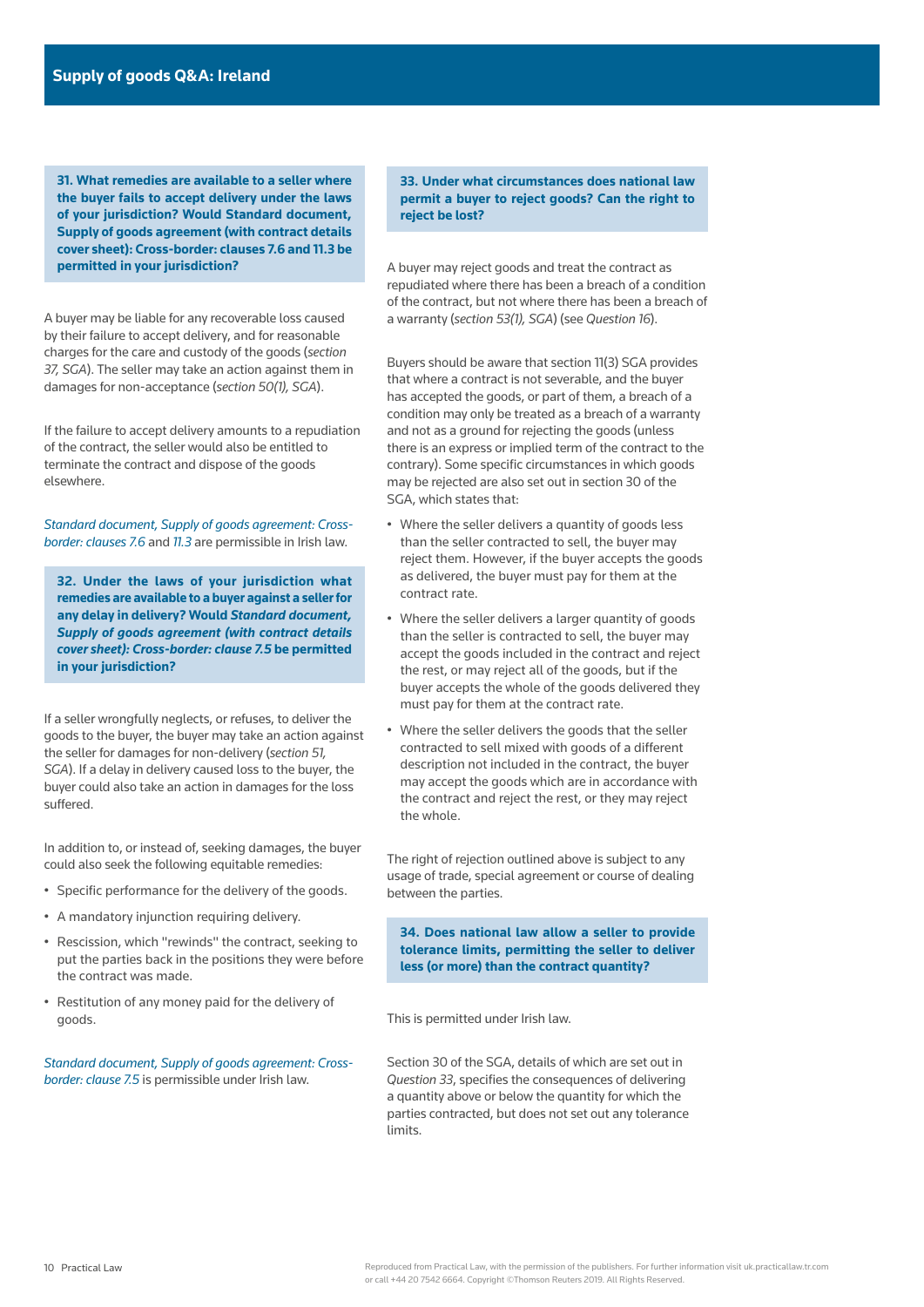**31. What remedies are available to a seller where the buyer fails to accept delivery under the laws of your jurisdiction? Would Standard document, Supply of goods agreement (with contract details cover sheet): Cross-border: clauses 7.6 and 11.3 be permitted in your jurisdiction?**

A buyer may be liable for any recoverable loss caused by their failure to accept delivery, and for reasonable charges for the care and custody of the goods (*section 37, SGA*). The seller may take an action against them in damages for non-acceptance (*section 50(1), SGA*).

If the failure to accept delivery amounts to a repudiation of the contract, the seller would also be entitled to terminate the contract and dispose of the goods elsewhere.

*[Standard document, Supply of goods agreement: Cross](https://uk.practicallaw.thomsonreuters.com/w-010-9073)[border: clauses 7.6](https://uk.practicallaw.thomsonreuters.com/w-010-9073)* and *[11.3](https://uk.practicallaw.thomsonreuters.com/w-010-9073)* are permissible in Irish law.

**32. Under the laws of your jurisdiction what remedies are available to a buyer against a seller for any delay in delivery? Would** *[Standard document,](https://uk.practicallaw.thomsonreuters.com/w-010-9073)  [Supply of goods agreement \(with contract details](https://uk.practicallaw.thomsonreuters.com/w-010-9073)  [cover sheet\): Cross-border: clause 7.5](https://uk.practicallaw.thomsonreuters.com/w-010-9073)* **be permitted in your jurisdiction?**

If a seller wrongfully neglects, or refuses, to deliver the goods to the buyer, the buyer may take an action against the seller for damages for non-delivery (*section 51, SGA*). If a delay in delivery caused loss to the buyer, the buyer could also take an action in damages for the loss suffered.

In addition to, or instead of, seeking damages, the buyer could also seek the following equitable remedies:

- Specific performance for the delivery of the goods.
- A mandatory injunction requiring delivery.
- Rescission, which "rewinds" the contract, seeking to put the parties back in the positions they were before the contract was made.
- Restitution of any money paid for the delivery of goods.

*[Standard document, Supply of goods agreement: Cross](https://uk.practicallaw.thomsonreuters.com/w-010-9073)[border: clause 7.5](https://uk.practicallaw.thomsonreuters.com/w-010-9073)* is permissible under Irish law.

**33. Under what circumstances does national law permit a buyer to reject goods? Can the right to reject be lost?**

A buyer may reject goods and treat the contract as repudiated where there has been a breach of a condition of the contract, but not where there has been a breach of a warranty (*section 53(1), SGA*) (see *Question 16*).

Buyers should be aware that section 11(3) SGA provides that where a contract is not severable, and the buyer has accepted the goods, or part of them, a breach of a condition may only be treated as a breach of a warranty and not as a ground for rejecting the goods (unless there is an express or implied term of the contract to the contrary). Some specific circumstances in which goods may be rejected are also set out in section 30 of the SGA, which states that:

- Where the seller delivers a quantity of goods less than the seller contracted to sell, the buyer may reject them. However, if the buyer accepts the goods as delivered, the buyer must pay for them at the contract rate.
- Where the seller delivers a larger quantity of goods than the seller is contracted to sell, the buyer may accept the goods included in the contract and reject the rest, or may reject all of the goods, but if the buyer accepts the whole of the goods delivered they must pay for them at the contract rate.
- Where the seller delivers the goods that the seller contracted to sell mixed with goods of a different description not included in the contract, the buyer may accept the goods which are in accordance with the contract and reject the rest, or they may reject the whole.

The right of rejection outlined above is subject to any usage of trade, special agreement or course of dealing between the parties.

**34. Does national law allow a seller to provide tolerance limits, permitting the seller to deliver less (or more) than the contract quantity?**

This is permitted under Irish law.

Section 30 of the SGA, details of which are set out in *Question 33*, specifies the consequences of delivering a quantity above or below the quantity for which the parties contracted, but does not set out any tolerance limits.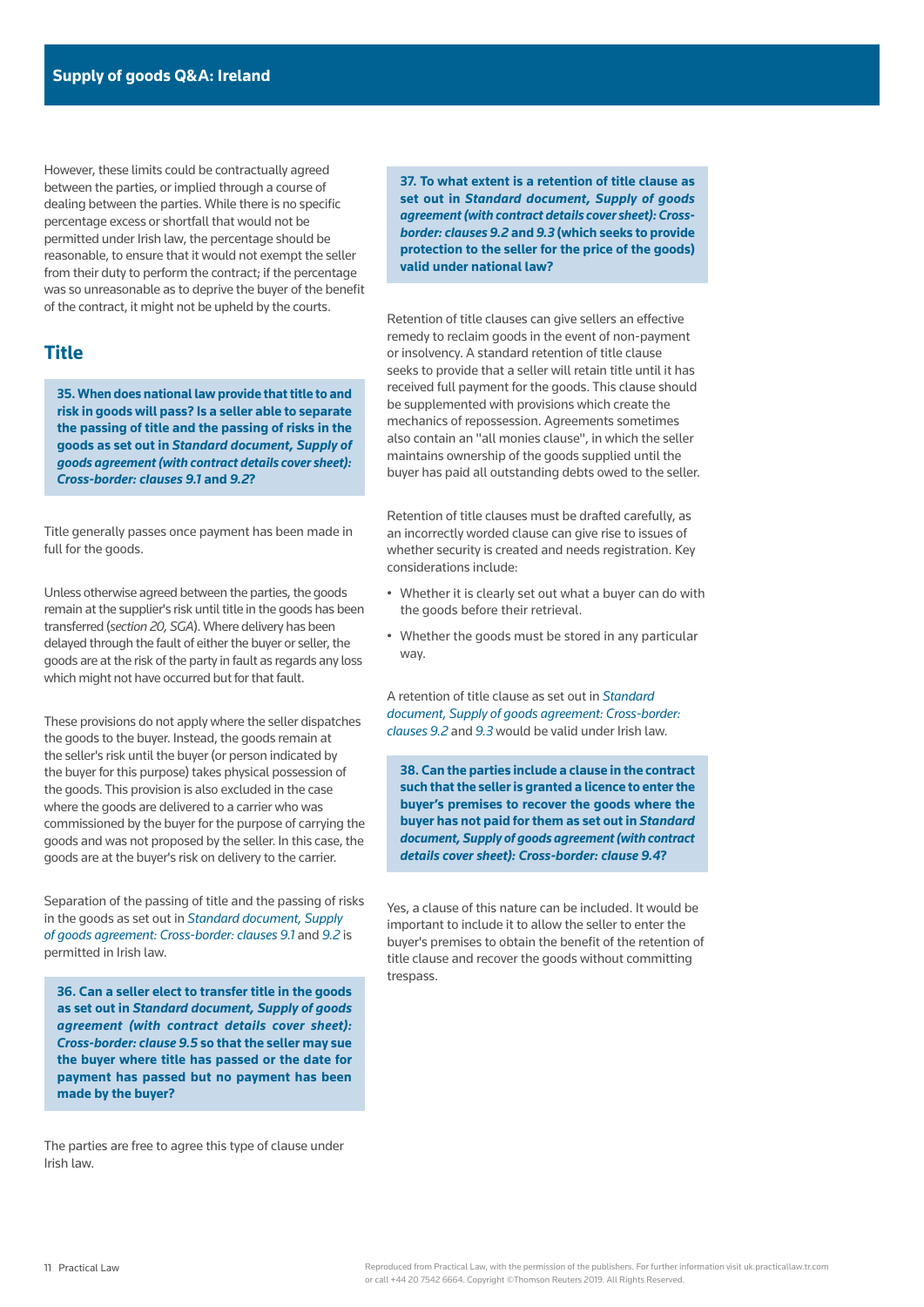However, these limits could be contractually agreed between the parties, or implied through a course of dealing between the parties. While there is no specific percentage excess or shortfall that would not be permitted under Irish law, the percentage should be reasonable, to ensure that it would not exempt the seller from their duty to perform the contract; if the percentage was so unreasonable as to deprive the buyer of the benefit of the contract, it might not be upheld by the courts.

# **Title**

**35. When does national law provide that title to and risk in goods will pass? Is a seller able to separate the passing of title and the passing of risks in the goods as set out in** *[Standard document, Supply of](https://uk.practicallaw.thomsonreuters.com/w-010-9073)  [goods agreement \(with contract details cover sheet\):](https://uk.practicallaw.thomsonreuters.com/w-010-9073)  [Cross-border: clauses 9.1](https://uk.practicallaw.thomsonreuters.com/w-010-9073)* **and** *[9.2](https://uk.practicallaw.thomsonreuters.com/w-010-9073)***?**

Title generally passes once payment has been made in full for the goods.

Unless otherwise agreed between the parties, the goods remain at the supplier's risk until title in the goods has been transferred (*section 20, SGA*). Where delivery has been delayed through the fault of either the buyer or seller, the goods are at the risk of the party in fault as regards any loss which might not have occurred but for that fault.

These provisions do not apply where the seller dispatches the goods to the buyer. Instead, the goods remain at the seller's risk until the buyer (or person indicated by the buyer for this purpose) takes physical possession of the goods. This provision is also excluded in the case where the goods are delivered to a carrier who was commissioned by the buyer for the purpose of carrying the goods and was not proposed by the seller. In this case, the goods are at the buyer's risk on delivery to the carrier.

Separation of the passing of title and the passing of risks in the goods as set out in *[Standard document, Supply](https://uk.practicallaw.thomsonreuters.com/w-010-9073)  [of goods agreement: Cross-border: clauses 9.1](https://uk.practicallaw.thomsonreuters.com/w-010-9073)* and *[9.2](https://uk.practicallaw.thomsonreuters.com/w-010-9073)* is permitted in Irish law.

**36. Can a seller elect to transfer title in the goods as set out in** *[Standard document, Supply of goods](https://uk.practicallaw.thomsonreuters.com/w-010-9073)  [agreement \(with contract details cover sheet\):](https://uk.practicallaw.thomsonreuters.com/w-010-9073)  [Cross-border: clause 9.5](https://uk.practicallaw.thomsonreuters.com/w-010-9073)* **so that the seller may sue the buyer where title has passed or the date for payment has passed but no payment has been made by the buyer?**

The parties are free to agree this type of clause under Irish law.

**37. To what extent is a retention of title clause as set out in** *[Standard document, Supply of goods](https://uk.practicallaw.thomsonreuters.com/w-010-9073)  [agreement \(with contract details cover sheet\): Cross](https://uk.practicallaw.thomsonreuters.com/w-010-9073)[border: clauses 9.2](https://uk.practicallaw.thomsonreuters.com/w-010-9073)* **and** *[9.3](https://uk.practicallaw.thomsonreuters.com/w-010-9073)* **(which seeks to provide protection to the seller for the price of the goods) valid under national law?**

Retention of title clauses can give sellers an effective remedy to reclaim goods in the event of non-payment or insolvency. A standard retention of title clause seeks to provide that a seller will retain title until it has received full payment for the goods. This clause should be supplemented with provisions which create the mechanics of repossession. Agreements sometimes also contain an "all monies clause", in which the seller maintains ownership of the goods supplied until the buyer has paid all outstanding debts owed to the seller.

Retention of title clauses must be drafted carefully, as an incorrectly worded clause can give rise to issues of whether security is created and needs registration. Key considerations include:

- Whether it is clearly set out what a buyer can do with the goods before their retrieval.
- Whether the goods must be stored in any particular way.

A retention of title clause as set out in *[Standard](https://uk.practicallaw.thomsonreuters.com/w-010-9073)  [document, Supply of goods agreement: Cross-border:](https://uk.practicallaw.thomsonreuters.com/w-010-9073)  [clauses 9.2](https://uk.practicallaw.thomsonreuters.com/w-010-9073)* and *[9.3](https://uk.practicallaw.thomsonreuters.com/w-010-9073)* would be valid under Irish law.

**38. Can the parties include a clause in the contract such that the seller is granted a licence to enter the buyer's premises to recover the goods where the buyer has not paid for them as set out in** *[Standard](https://uk.practicallaw.thomsonreuters.com/w-010-9073)  [document, Supply of goods agreement \(with contract](https://uk.practicallaw.thomsonreuters.com/w-010-9073)  [details cover sheet\): Cross-border: clause 9.4](https://uk.practicallaw.thomsonreuters.com/w-010-9073)***?**

Yes, a clause of this nature can be included. It would be important to include it to allow the seller to enter the buyer's premises to obtain the benefit of the retention of title clause and recover the goods without committing trespass.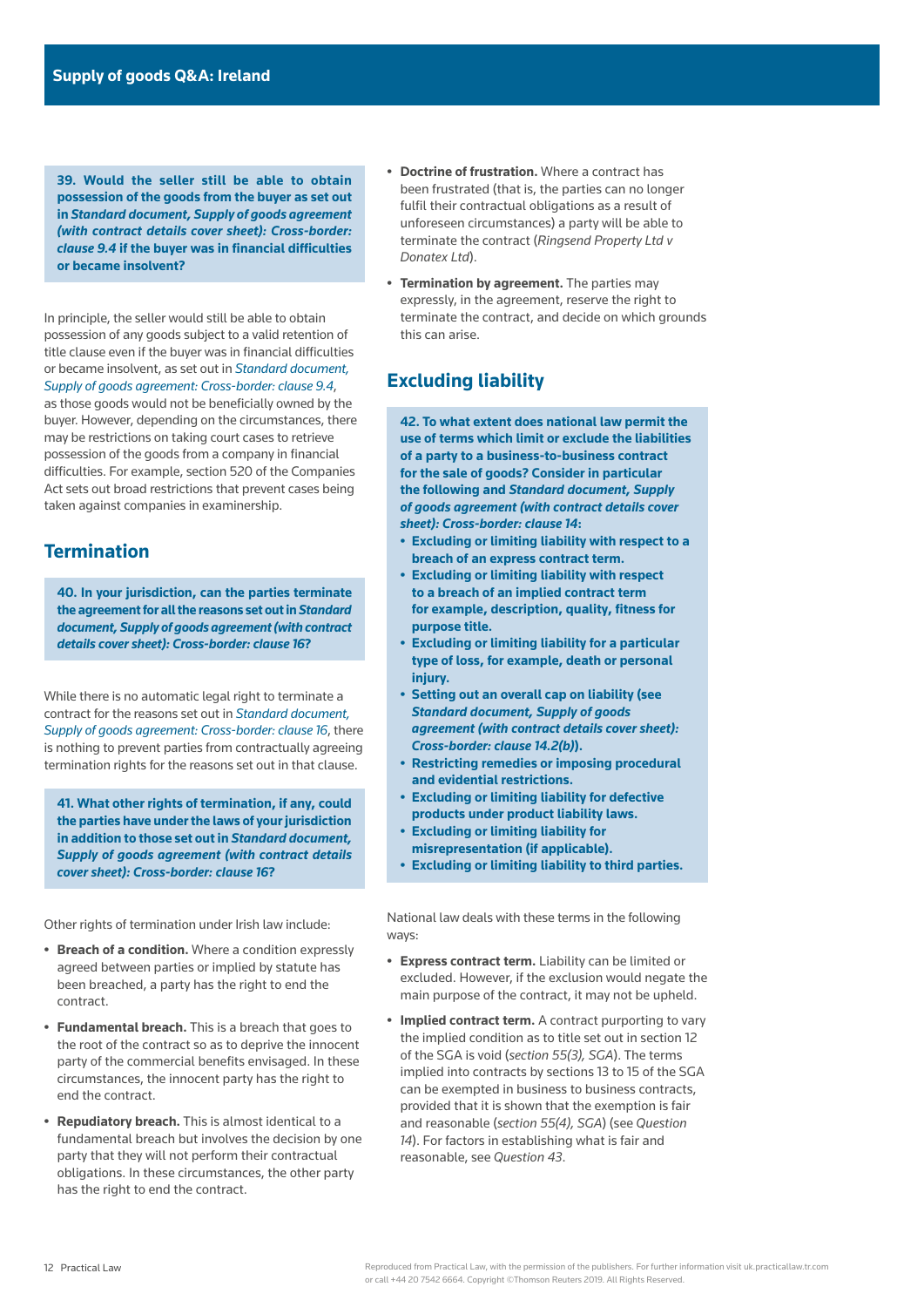**39. Would the seller still be able to obtain possession of the goods from the buyer as set out in** *[Standard document, Supply of goods agreement](https://uk.practicallaw.thomsonreuters.com/w-010-9073)  [\(with contract details cover sheet\): Cross-border:](https://uk.practicallaw.thomsonreuters.com/w-010-9073)  [clause 9.4](https://uk.practicallaw.thomsonreuters.com/w-010-9073)* **if the buyer was in financial difficulties or became insolvent?**

In principle, the seller would still be able to obtain possession of any goods subject to a valid retention of title clause even if the buyer was in financial difficulties or became insolvent, as set out in *[Standard document,](https://uk.practicallaw.thomsonreuters.com/w-010-9073)  [Supply of goods agreement: Cross-border: clause 9.4](https://uk.practicallaw.thomsonreuters.com/w-010-9073)*, as those goods would not be beneficially owned by the buyer. However, depending on the circumstances, there may be restrictions on taking court cases to retrieve possession of the goods from a company in financial difficulties. For example, section 520 of the Companies Act sets out broad restrictions that prevent cases being taken against companies in examinership.

# **Termination**

**40. In your jurisdiction, can the parties terminate the agreement for all the reasons set out in** *[Standard](https://uk.practicallaw.thomsonreuters.com/w-010-9073)  [document, Supply of goods agreement \(with contract](https://uk.practicallaw.thomsonreuters.com/w-010-9073)  [details cover sheet\): Cross-border: clause 16](https://uk.practicallaw.thomsonreuters.com/w-010-9073)***?**

While there is no automatic legal right to terminate a contract for the reasons set out in *[Standard document,](https://uk.practicallaw.thomsonreuters.com/w-010-9073)  [Supply of goods agreement: Cross-border: clause 16](https://uk.practicallaw.thomsonreuters.com/w-010-9073)*, there is nothing to prevent parties from contractually agreeing termination rights for the reasons set out in that clause.

**41. What other rights of termination, if any, could the parties have under the laws of your jurisdiction in addition to those set out in** *[Standard document,](https://uk.practicallaw.thomsonreuters.com/w-010-9073)  [Supply of goods agreement \(with contract details](https://uk.practicallaw.thomsonreuters.com/w-010-9073)  [cover sheet\): Cross-border: clause 16](https://uk.practicallaw.thomsonreuters.com/w-010-9073)***?**

Other rights of termination under Irish law include:

- **• Breach of a condition.** Where a condition expressly agreed between parties or implied by statute has been breached, a party has the right to end the contract.
- **• Fundamental breach.** This is a breach that goes to the root of the contract so as to deprive the innocent party of the commercial benefits envisaged. In these circumstances, the innocent party has the right to end the contract.
- **• Repudiatory breach.** This is almost identical to a fundamental breach but involves the decision by one party that they will not perform their contractual obligations. In these circumstances, the other party has the right to end the contract.
- **• Doctrine of frustration.** Where a contract has been frustrated (that is, the parties can no longer fulfil their contractual obligations as a result of unforeseen circumstances) a party will be able to terminate the contract (*Ringsend Property Ltd v Donatex Ltd*).
- **• Termination by agreement.** The parties may expressly, in the agreement, reserve the right to terminate the contract, and decide on which grounds this can arise.

# **Excluding liability**

**42. To what extent does national law permit the use of terms which limit or exclude the liabilities of a party to a business-to-business contract for the sale of goods? Consider in particular the following and** *[Standard document, Supply](https://uk.practicallaw.thomsonreuters.com/w-010-9073)  [of goods agreement \(with contract details cover](https://uk.practicallaw.thomsonreuters.com/w-010-9073)  [sheet\): Cross-border: clause 14](https://uk.practicallaw.thomsonreuters.com/w-010-9073)***:**

- **• Excluding or limiting liability with respect to a breach of an express contract term.**
- **• Excluding or limiting liability with respect to a breach of an implied contract term for example, description, quality, fitness for purpose title.**
- **• Excluding or limiting liability for a particular type of loss, for example, death or personal injury.**
- **• Setting out an overall cap on liability (see**  *[Standard document, Supply of goods](https://uk.practicallaw.thomsonreuters.com/w-010-9073)  [agreement \(with contract details cover sheet\):](https://uk.practicallaw.thomsonreuters.com/w-010-9073)  [Cross-border: clause 14.2\(b\)](https://uk.practicallaw.thomsonreuters.com/w-010-9073)***).**
- **• Restricting remedies or imposing procedural and evidential restrictions.**
- **• Excluding or limiting liability for defective products under product liability laws.**
- **• Excluding or limiting liability for**
- **misrepresentation (if applicable).**
- **• Excluding or limiting liability to third parties.**

National law deals with these terms in the following ways:

- **• Express contract term.** Liability can be limited or excluded. However, if the exclusion would negate the main purpose of the contract, it may not be upheld.
- **• Implied contract term.** A contract purporting to vary the implied condition as to title set out in section 12 of the SGA is void (*section 55(3), SGA*). The terms implied into contracts by sections 13 to 15 of the SGA can be exempted in business to business contracts, provided that it is shown that the exemption is fair and reasonable (*section 55(4), SGA*) (see *Question 14*). For factors in establishing what is fair and reasonable, see *Question 43*.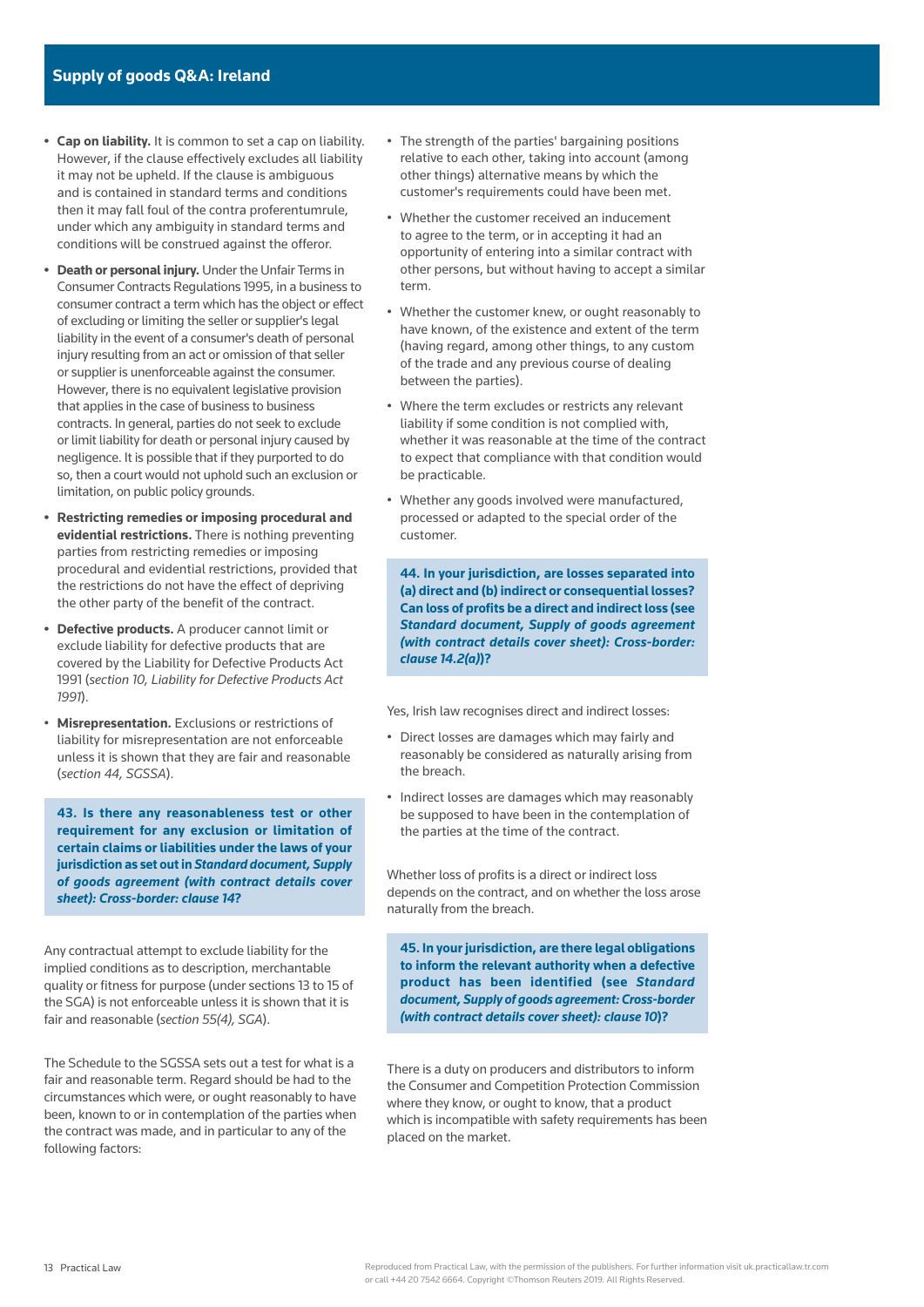- **• Cap on liability.** It is common to set a cap on liability. However, if the clause effectively excludes all liability it may not be upheld. If the clause is ambiguous and is contained in standard terms and conditions then it may fall foul of the contra proferentumrule, under which any ambiguity in standard terms and conditions will be construed against the offeror.
- **• Death or personal injury.** Under the Unfair Terms in Consumer Contracts Regulations 1995, in a business to consumer contract a term which has the object or effect of excluding or limiting the seller or supplier's legal liability in the event of a consumer's death of personal injury resulting from an act or omission of that seller or supplier is unenforceable against the consumer. However, there is no equivalent legislative provision that applies in the case of business to business contracts. In general, parties do not seek to exclude or limit liability for death or personal injury caused by negligence. It is possible that if they purported to do so, then a court would not uphold such an exclusion or limitation, on public policy grounds.
- **• Restricting remedies or imposing procedural and evidential restrictions.** There is nothing preventing parties from restricting remedies or imposing procedural and evidential restrictions, provided that the restrictions do not have the effect of depriving the other party of the benefit of the contract.
- **• Defective products.** A producer cannot limit or exclude liability for defective products that are covered by the Liability for Defective Products Act 1991 (*section 10, Liability for Defective Products Act 1991*).
- **Misrepresentation.** Exclusions or restrictions of liability for misrepresentation are not enforceable unless it is shown that they are fair and reasonable (*section 44, SGSSA*).

**43. Is there any reasonableness test or other requirement for any exclusion or limitation of certain claims or liabilities under the laws of your jurisdiction as set out in** *[Standard document, Supply](https://uk.practicallaw.thomsonreuters.com/w-010-9073)  [of goods agreement \(with contract details cover](https://uk.practicallaw.thomsonreuters.com/w-010-9073)  [sheet\): Cross-border: clause 14](https://uk.practicallaw.thomsonreuters.com/w-010-9073)***?**

Any contractual attempt to exclude liability for the implied conditions as to description, merchantable quality or fitness for purpose (under sections 13 to 15 of the SGA) is not enforceable unless it is shown that it is fair and reasonable (*section 55(4), SGA*).

The Schedule to the SGSSA sets out a test for what is a fair and reasonable term. Regard should be had to the circumstances which were, or ought reasonably to have been, known to or in contemplation of the parties when the contract was made, and in particular to any of the following factors:

- The strength of the parties' bargaining positions relative to each other, taking into account (among other things) alternative means by which the customer's requirements could have been met.
- Whether the customer received an inducement to agree to the term, or in accepting it had an opportunity of entering into a similar contract with other persons, but without having to accept a similar term.
- Whether the customer knew, or ought reasonably to have known, of the existence and extent of the term (having regard, among other things, to any custom of the trade and any previous course of dealing between the parties).
- Where the term excludes or restricts any relevant liability if some condition is not complied with, whether it was reasonable at the time of the contract to expect that compliance with that condition would be practicable.
- Whether any goods involved were manufactured, processed or adapted to the special order of the customer.

**44. In your jurisdiction, are losses separated into (a) direct and (b) indirect or consequential losses? Can loss of profits be a direct and indirect loss (see**  *[Standard document, Supply of goods agreement](https://uk.practicallaw.thomsonreuters.com/w-010-9073)  [\(with contract details cover sheet\): Cross-border:](https://uk.practicallaw.thomsonreuters.com/w-010-9073)  [clause 14.2\(a\)](https://uk.practicallaw.thomsonreuters.com/w-010-9073)***)?**

Yes, Irish law recognises direct and indirect losses:

- Direct losses are damages which may fairly and reasonably be considered as naturally arising from the breach.
- Indirect losses are damages which may reasonably be supposed to have been in the contemplation of the parties at the time of the contract.

Whether loss of profits is a direct or indirect loss depends on the contract, and on whether the loss arose naturally from the breach.

**45. In your jurisdiction, are there legal obligations to inform the relevant authority when a defective product has been identified (see** *[Standard](https://uk.practicallaw.thomsonreuters.com/w-010-9073)  [document, Supply of goods agreement: Cross-border](https://uk.practicallaw.thomsonreuters.com/w-010-9073)  [\(with contract details cover sheet\): clause 10](https://uk.practicallaw.thomsonreuters.com/w-010-9073)***)?**

There is a duty on producers and distributors to inform the Consumer and Competition Protection Commission where they know, or ought to know, that a product which is incompatible with safety requirements has been placed on the market.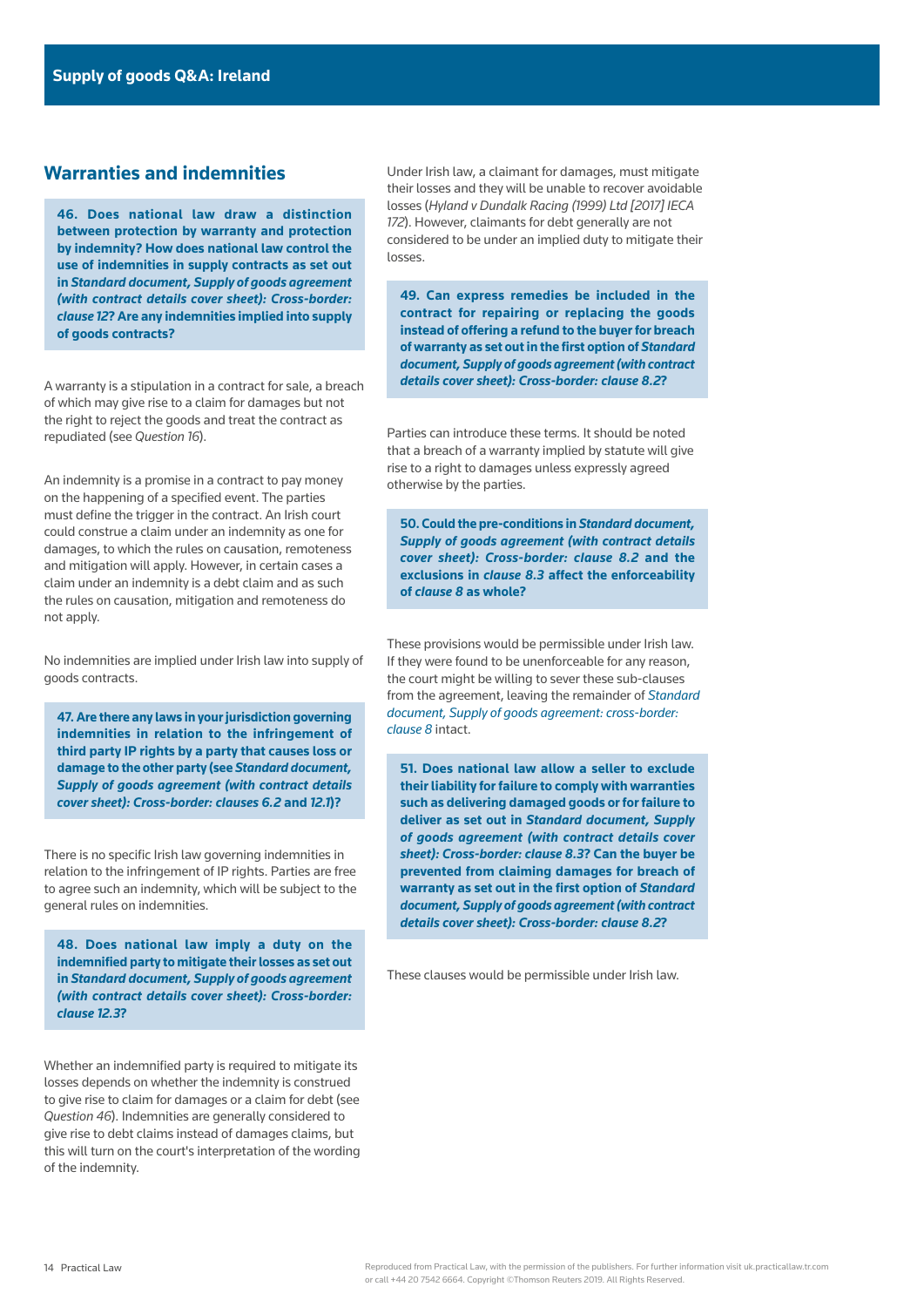# **Warranties and indemnities**

**46. Does national law draw a distinction between protection by warranty and protection by indemnity? How does national law control the use of indemnities in supply contracts as set out in** *[Standard document, Supply of goods agreement](https://uk.practicallaw.thomsonreuters.com/w-010-9073)  [\(with contract details cover sheet\): Cross-border:](https://uk.practicallaw.thomsonreuters.com/w-010-9073)  [clause 12](https://uk.practicallaw.thomsonreuters.com/w-010-9073)***? Are any indemnities implied into supply of goods contracts?**

A warranty is a stipulation in a contract for sale, a breach of which may give rise to a claim for damages but not the right to reject the goods and treat the contract as repudiated (see *Question 16*).

An indemnity is a promise in a contract to pay money on the happening of a specified event. The parties must define the trigger in the contract. An Irish court could construe a claim under an indemnity as one for damages, to which the rules on causation, remoteness and mitigation will apply. However, in certain cases a claim under an indemnity is a debt claim and as such the rules on causation, mitigation and remoteness do not apply.

No indemnities are implied under Irish law into supply of goods contracts.

**47. Are there any laws in your jurisdiction governing indemnities in relation to the infringement of third party IP rights by a party that causes loss or damage to the other party (see** *[Standard document,](https://uk.practicallaw.thomsonreuters.com/w-010-9073)  [Supply of goods agreement \(with contract details](https://uk.practicallaw.thomsonreuters.com/w-010-9073)  [cover sheet\): Cross-border: clauses 6.2](https://uk.practicallaw.thomsonreuters.com/w-010-9073)* **and** *[12.1](https://uk.practicallaw.thomsonreuters.com/w-010-9073)***)?**

There is no specific Irish law governing indemnities in relation to the infringement of IP rights. Parties are free to agree such an indemnity, which will be subject to the general rules on indemnities.

**48. Does national law imply a duty on the indemnified party to mitigate their losses as set out in** *[Standard document, Supply of goods agreement](https://uk.practicallaw.thomsonreuters.com/w-010-9073)  [\(with contract details cover sheet\): Cross-border:](https://uk.practicallaw.thomsonreuters.com/w-010-9073)  [clause 12.3](https://uk.practicallaw.thomsonreuters.com/w-010-9073)***?**

Whether an indemnified party is required to mitigate its losses depends on whether the indemnity is construed to give rise to claim for damages or a claim for debt (see *Question 46*). Indemnities are generally considered to give rise to debt claims instead of damages claims, but this will turn on the court's interpretation of the wording of the indemnity.

Under Irish law, a claimant for damages, must mitigate their losses and they will be unable to recover avoidable losses (*Hyland v Dundalk Racing (1999) Ltd [2017] IECA 172*). However, claimants for debt generally are not considered to be under an implied duty to mitigate their losses.

**49. Can express remedies be included in the contract for repairing or replacing the goods instead of offering a refund to the buyer for breach of warranty as set out in the first option of** *[Standard](https://uk.practicallaw.thomsonreuters.com/w-010-9073)  [document, Supply of goods agreement \(with contract](https://uk.practicallaw.thomsonreuters.com/w-010-9073)  [details cover sheet\): Cross-border: clause 8.2](https://uk.practicallaw.thomsonreuters.com/w-010-9073)***?**

Parties can introduce these terms. It should be noted that a breach of a warranty implied by statute will give rise to a right to damages unless expressly agreed otherwise by the parties.

**50. Could the pre-conditions in** *[Standard document,](https://uk.practicallaw.thomsonreuters.com/w-010-9073)  [Supply of goods agreement \(with contract details](https://uk.practicallaw.thomsonreuters.com/w-010-9073)  [cover sheet\): Cross-border: clause 8.2](https://uk.practicallaw.thomsonreuters.com/w-010-9073)* **and the exclusions in** *[clause 8.3](https://uk.practicallaw.thomsonreuters.com/w-010-9073)* **affect the enforceability of** *[clause 8](https://uk.practicallaw.thomsonreuters.com/w-010-9073)* **as whole?**

These provisions would be permissible under Irish law. If they were found to be unenforceable for any reason, the court might be willing to sever these sub-clauses from the agreement, leaving the remainder of *[Standard](https://uk.practicallaw.thomsonreuters.com/w-010-9073)  [document, Supply of goods agreement: cross-border:](https://uk.practicallaw.thomsonreuters.com/w-010-9073)  [clause 8](https://uk.practicallaw.thomsonreuters.com/w-010-9073)* intact.

**51. Does national law allow a seller to exclude their liability for failure to comply with warranties such as delivering damaged goods or for failure to deliver as set out in** *[Standard document, Supply](https://uk.practicallaw.thomsonreuters.com/w-010-9073)  [of goods agreement \(with contract details cover](https://uk.practicallaw.thomsonreuters.com/w-010-9073)  [sheet\): Cross-border: clause 8.3](https://uk.practicallaw.thomsonreuters.com/w-010-9073)***? Can the buyer be prevented from claiming damages for breach of warranty as set out in the first option of** *[Standard](https://uk.practicallaw.thomsonreuters.com/w-010-9073)  [document, Supply of goods agreement \(with contract](https://uk.practicallaw.thomsonreuters.com/w-010-9073)  [details cover sheet\): Cross-border: clause 8.2](https://uk.practicallaw.thomsonreuters.com/w-010-9073)***?**

These clauses would be permissible under Irish law.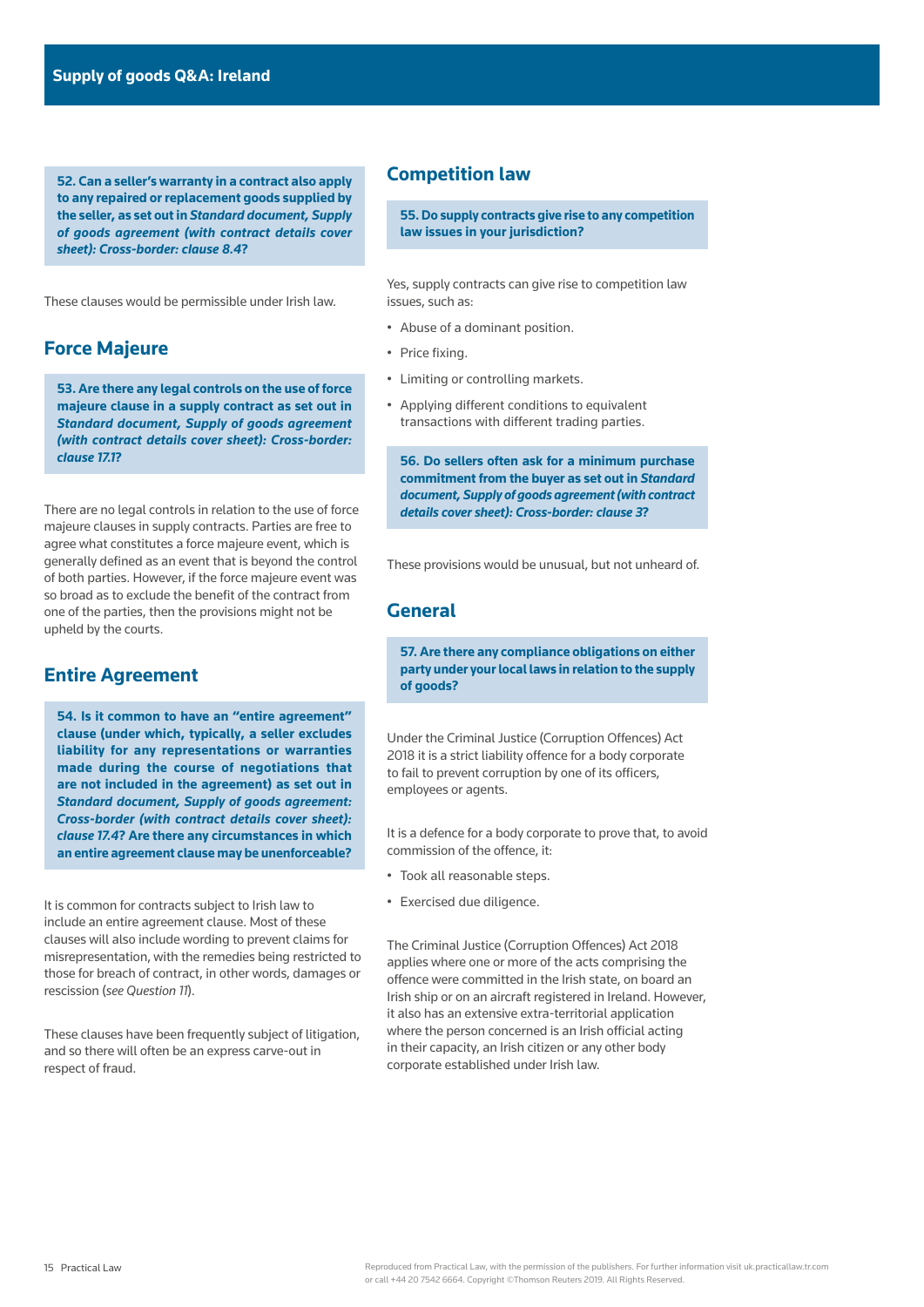**52. Can a seller's warranty in a contract also apply to any repaired or replacement goods supplied by the seller, as set out in** *[Standard document, Supply](https://uk.practicallaw.thomsonreuters.com/w-010-9073)  [of goods agreement \(with contract details cover](https://uk.practicallaw.thomsonreuters.com/w-010-9073)  [sheet\): Cross-border: clause 8.4](https://uk.practicallaw.thomsonreuters.com/w-010-9073)***?**

These clauses would be permissible under Irish law.

# **Force Majeure**

**53. Are there any legal controls on the use of force majeure clause in a supply contract as set out in**  *[Standard document, Supply of goods agreement](https://uk.practicallaw.thomsonreuters.com/w-010-9073)  [\(with contract details cover sheet\): Cross-border:](https://uk.practicallaw.thomsonreuters.com/w-010-9073)  [clause 17.1](https://uk.practicallaw.thomsonreuters.com/w-010-9073)***?**

There are no legal controls in relation to the use of force majeure clauses in supply contracts. Parties are free to agree what constitutes a force majeure event, which is generally defined as an event that is beyond the control of both parties. However, if the force majeure event was so broad as to exclude the benefit of the contract from one of the parties, then the provisions might not be upheld by the courts.

## **Entire Agreement**

**54. Is it common to have an "entire agreement" clause (under which, typically, a seller excludes liability for any representations or warranties made during the course of negotiations that are not included in the agreement) as set out in**  *[Standard document, Supply of goods agreement:](https://uk.practicallaw.thomsonreuters.com/w-010-9073)  [Cross-border \(with contract details cover sheet\):](https://uk.practicallaw.thomsonreuters.com/w-010-9073)  [clause 17.4](https://uk.practicallaw.thomsonreuters.com/w-010-9073)***? Are there any circumstances in which an entire agreement clause may be unenforceable?**

It is common for contracts subject to Irish law to include an entire agreement clause. Most of these clauses will also include wording to prevent claims for misrepresentation, with the remedies being restricted to those for breach of contract, in other words, damages or rescission (*see Question 11*).

These clauses have been frequently subject of litigation, and so there will often be an express carve-out in respect of fraud.

# **Competition law**

**55. Do supply contracts give rise to any competition law issues in your jurisdiction?**

Yes, supply contracts can give rise to competition law issues, such as:

- Abuse of a dominant position.
- Price fixing.
- Limiting or controlling markets.
- Applying different conditions to equivalent transactions with different trading parties.

**56. Do sellers often ask for a minimum purchase commitment from the buyer as set out in** *[Standard](https://uk.practicallaw.thomsonreuters.com/w-010-9073)  [document, Supply of goods agreement \(with contract](https://uk.practicallaw.thomsonreuters.com/w-010-9073)  [details cover sheet\): Cross-border: clause 3](https://uk.practicallaw.thomsonreuters.com/w-010-9073)***?**

These provisions would be unusual, but not unheard of.

# **General**

**57. Are there any compliance obligations on either party under your local laws in relation to the supply of goods?**

Under the Criminal Justice (Corruption Offences) Act 2018 it is a strict liability offence for a body corporate to fail to prevent corruption by one of its officers, employees or agents.

It is a defence for a body corporate to prove that, to avoid commission of the offence, it:

- Took all reasonable steps.
- Exercised due diligence.

The Criminal Justice (Corruption Offences) Act 2018 applies where one or more of the acts comprising the offence were committed in the Irish state, on board an Irish ship or on an aircraft registered in Ireland. However, it also has an extensive extra-territorial application where the person concerned is an Irish official acting in their capacity, an Irish citizen or any other body corporate established under Irish law.